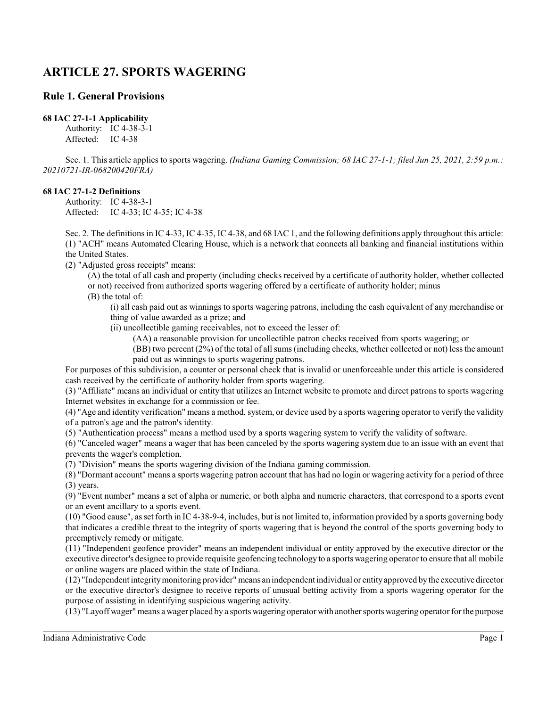# **ARTICLE 27. SPORTS WAGERING**

## **Rule 1. General Provisions**

#### **68 IAC 27-1-1 Applicability**

Authority: IC 4-38-3-1 Affected: IC 4-38

Sec. 1. This article applies to sports wagering. *(Indiana Gaming Commission; 68 IAC 27-1-1; filed Jun 25, 2021, 2:59 p.m.: 20210721-IR-068200420FRA)*

### **68 IAC 27-1-2 Definitions**

Authority: IC 4-38-3-1 Affected: IC 4-33; IC 4-35; IC 4-38

Sec. 2. The definitions in IC 4-33, IC 4-35, IC 4-38, and 68 IAC 1, and the following definitions apply throughout this article: (1) "ACH" means Automated Clearing House, which is a network that connects all banking and financial institutions within the United States.

(2) "Adjusted gross receipts" means:

(A) the total of all cash and property (including checks received by a certificate of authority holder, whether collected or not) received from authorized sports wagering offered by a certificate of authority holder; minus

(B) the total of:

(i) all cash paid out as winnings to sports wagering patrons, including the cash equivalent of any merchandise or thing of value awarded as a prize; and

(ii) uncollectible gaming receivables, not to exceed the lesser of:

(AA) a reasonable provision for uncollectible patron checks received from sports wagering; or

(BB) two percent (2%) of the total of all sums (including checks, whether collected or not) less the amount paid out as winnings to sports wagering patrons.

For purposes of this subdivision, a counter or personal check that is invalid or unenforceable under this article is considered cash received by the certificate of authority holder from sports wagering.

(3) "Affiliate" means an individual or entity that utilizes an Internet website to promote and direct patrons to sports wagering Internet websites in exchange for a commission or fee.

(4) "Age and identity verification" means a method, system, or device used by a sports wagering operator to verify the validity of a patron's age and the patron's identity.

(5) "Authentication process" means a method used by a sports wagering system to verify the validity of software.

(6) "Canceled wager" means a wager that has been canceled by the sports wagering system due to an issue with an event that prevents the wager's completion.

(7) "Division" means the sports wagering division of the Indiana gaming commission.

(8) "Dormant account" means a sports wagering patron account that has had no login or wagering activity for a period of three (3) years.

(9) "Event number" means a set of alpha or numeric, or both alpha and numeric characters, that correspond to a sports event or an event ancillary to a sports event.

(10) "Good cause", as set forth in IC 4-38-9-4, includes, but is not limited to, information provided by a sports governing body that indicates a credible threat to the integrity of sports wagering that is beyond the control of the sports governing body to preemptively remedy or mitigate.

(11) "Independent geofence provider" means an independent individual or entity approved by the executive director or the executive director's designee to provide requisite geofencing technology to a sports wagering operator to ensure that all mobile or online wagers are placed within the state of Indiana.

(12) "Independent integritymonitoring provider" means an independent individual or entityapproved by the executive director or the executive director's designee to receive reports of unusual betting activity from a sports wagering operator for the purpose of assisting in identifying suspicious wagering activity.

(13) "Layoff wager" means a wager placed by a sports wagering operator with another sports wagering operator for the purpose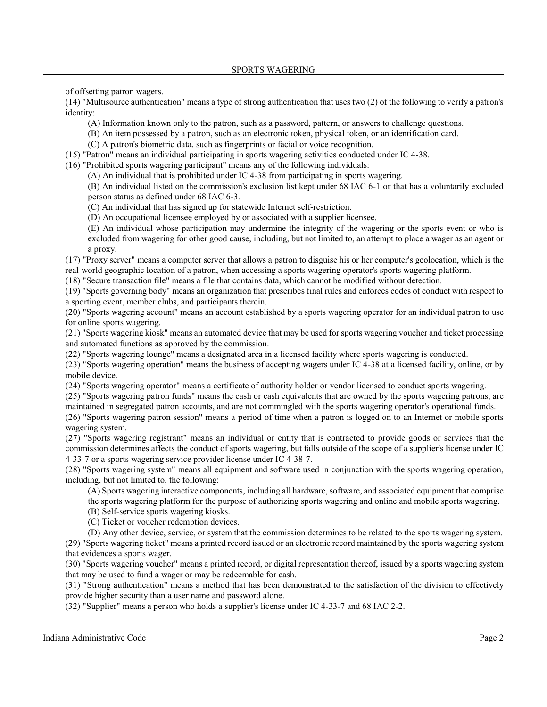of offsetting patron wagers.

(14) "Multisource authentication" means a type of strong authentication that uses two (2) of the following to verify a patron's identity:

(A) Information known only to the patron, such as a password, pattern, or answers to challenge questions.

(B) An item possessed by a patron, such as an electronic token, physical token, or an identification card.

(C) A patron's biometric data, such as fingerprints or facial or voice recognition.

(15) "Patron" means an individual participating in sports wagering activities conducted under IC 4-38.

(16) "Prohibited sports wagering participant" means any of the following individuals:

(A) An individual that is prohibited under IC 4-38 from participating in sports wagering.

(B) An individual listed on the commission's exclusion list kept under 68 IAC 6-1 or that has a voluntarily excluded person status as defined under 68 IAC 6-3.

(C) An individual that has signed up for statewide Internet self-restriction.

(D) An occupational licensee employed by or associated with a supplier licensee.

(E) An individual whose participation may undermine the integrity of the wagering or the sports event or who is excluded from wagering for other good cause, including, but not limited to, an attempt to place a wager as an agent or a proxy.

(17) "Proxy server" means a computer server that allows a patron to disguise his or her computer's geolocation, which is the real-world geographic location of a patron, when accessing a sports wagering operator's sports wagering platform.

(18) "Secure transaction file" means a file that contains data, which cannot be modified without detection.

(19) "Sports governing body" means an organization that prescribes final rules and enforces codes of conduct with respect to a sporting event, member clubs, and participants therein.

(20) "Sports wagering account" means an account established by a sports wagering operator for an individual patron to use for online sports wagering.

(21) "Sports wagering kiosk" means an automated device that may be used for sports wagering voucher and ticket processing and automated functions as approved by the commission.

(22) "Sports wagering lounge" means a designated area in a licensed facility where sports wagering is conducted.

(23) "Sports wagering operation" means the business of accepting wagers under IC 4-38 at a licensed facility, online, or by mobile device.

(24) "Sports wagering operator" means a certificate of authority holder or vendor licensed to conduct sports wagering.

(25) "Sports wagering patron funds" means the cash or cash equivalents that are owned by the sports wagering patrons, are maintained in segregated patron accounts, and are not commingled with the sports wagering operator's operational funds.

(26) "Sports wagering patron session" means a period of time when a patron is logged on to an Internet or mobile sports wagering system.

(27) "Sports wagering registrant" means an individual or entity that is contracted to provide goods or services that the commission determines affects the conduct of sports wagering, but falls outside of the scope of a supplier's license under IC 4-33-7 or a sports wagering service provider license under IC 4-38-7.

(28) "Sports wagering system" means all equipment and software used in conjunction with the sports wagering operation, including, but not limited to, the following:

(A) Sports wagering interactive components, including all hardware, software, and associated equipment that comprise

the sports wagering platform for the purpose of authorizing sports wagering and online and mobile sports wagering.

(B) Self-service sports wagering kiosks.

(C) Ticket or voucher redemption devices.

(D) Any other device, service, or system that the commission determines to be related to the sports wagering system. (29) "Sports wagering ticket" means a printed record issued or an electronic record maintained by the sports wagering system that evidences a sports wager.

(30) "Sports wagering voucher" means a printed record, or digital representation thereof, issued by a sports wagering system that may be used to fund a wager or may be redeemable for cash.

(31) "Strong authentication" means a method that has been demonstrated to the satisfaction of the division to effectively provide higher security than a user name and password alone.

(32) "Supplier" means a person who holds a supplier's license under IC 4-33-7 and 68 IAC 2-2.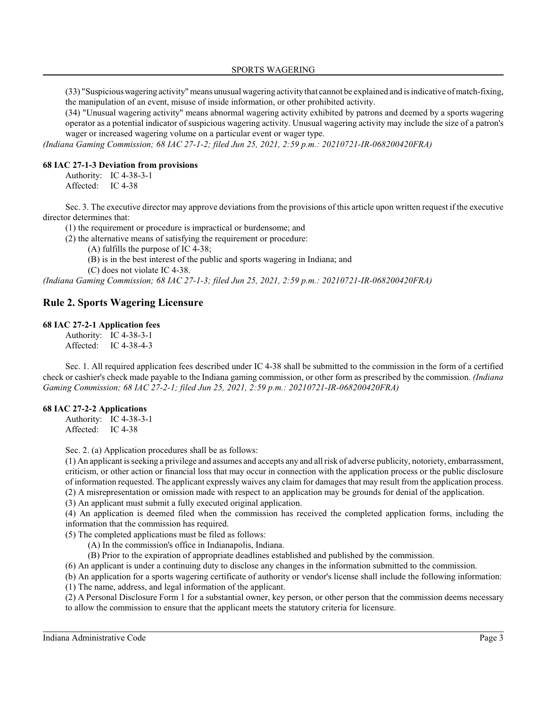(33) "Suspiciouswagering activity" means unusual wagering activitythat cannot be explained and is indicative of match-fixing, the manipulation of an event, misuse of inside information, or other prohibited activity.

(34) "Unusual wagering activity" means abnormal wagering activity exhibited by patrons and deemed by a sports wagering operator as a potential indicator of suspicious wagering activity. Unusual wagering activity may include the size of a patron's wager or increased wagering volume on a particular event or wager type.

*(Indiana Gaming Commission; 68 IAC 27-1-2; filed Jun 25, 2021, 2:59 p.m.: 20210721-IR-068200420FRA)*

#### **68 IAC 27-1-3 Deviation from provisions**

Authority: IC 4-38-3-1 Affected: IC 4-38

Sec. 3. The executive director may approve deviations from the provisions of this article upon written request if the executive director determines that:

(1) the requirement or procedure is impractical or burdensome; and

(2) the alternative means of satisfying the requirement or procedure:

- (A) fulfills the purpose of IC 4-38;
- (B) is in the best interest of the public and sports wagering in Indiana; and

(C) does not violate IC 4-38.

*(Indiana Gaming Commission; 68 IAC 27-1-3; filed Jun 25, 2021, 2:59 p.m.: 20210721-IR-068200420FRA)*

### **Rule 2. Sports Wagering Licensure**

#### **68 IAC 27-2-1 Application fees**

Authority: IC 4-38-3-1 Affected: IC 4-38-4-3

Sec. 1. All required application fees described under IC 4-38 shall be submitted to the commission in the form of a certified check or cashier's check made payable to the Indiana gaming commission, or other form as prescribed by the commission. *(Indiana Gaming Commission; 68 IAC 27-2-1; filed Jun 25, 2021, 2:59 p.m.: 20210721-IR-068200420FRA)*

#### **68 IAC 27-2-2 Applications**

Authority: IC 4-38-3-1 Affected: IC 4-38

Sec. 2. (a) Application procedures shall be as follows:

(1) An applicant is seeking a privilege and assumes and accepts any and all risk of adverse publicity, notoriety, embarrassment, criticism, or other action or financial loss that may occur in connection with the application process or the public disclosure of information requested. The applicant expressly waives any claim for damages that may result from the application process. (2) A misrepresentation or omission made with respect to an application may be grounds for denial of the application.

(3) An applicant must submit a fully executed original application.

(4) An application is deemed filed when the commission has received the completed application forms, including the information that the commission has required.

(5) The completed applications must be filed as follows:

- (A) In the commission's office in Indianapolis, Indiana.
- (B) Prior to the expiration of appropriate deadlines established and published by the commission.

(6) An applicant is under a continuing duty to disclose any changes in the information submitted to the commission.

(b) An application for a sports wagering certificate of authority or vendor's license shall include the following information:

(1) The name, address, and legal information of the applicant.

(2) A Personal Disclosure Form 1 for a substantial owner, key person, or other person that the commission deems necessary to allow the commission to ensure that the applicant meets the statutory criteria for licensure.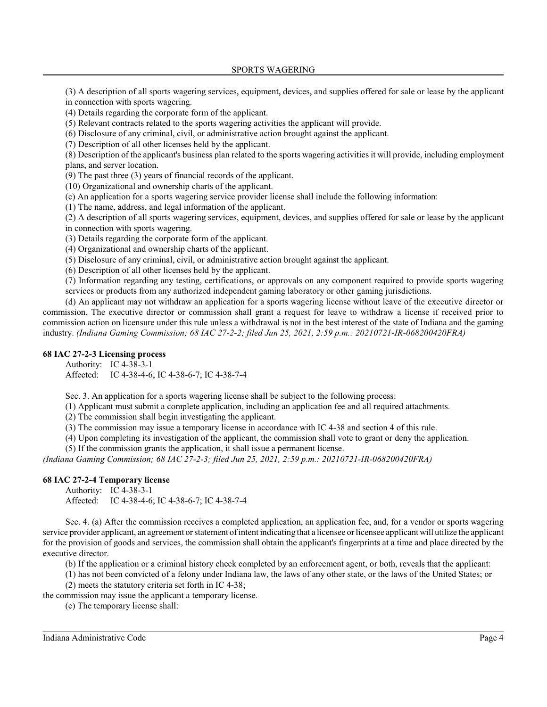(3) A description of all sports wagering services, equipment, devices, and supplies offered for sale or lease by the applicant in connection with sports wagering.

(4) Details regarding the corporate form of the applicant.

(5) Relevant contracts related to the sports wagering activities the applicant will provide.

(6) Disclosure of any criminal, civil, or administrative action brought against the applicant.

(7) Description of all other licenses held by the applicant.

(8) Description of the applicant's business plan related to the sports wagering activities it will provide, including employment plans, and server location.

(9) The past three (3) years of financial records of the applicant.

(10) Organizational and ownership charts of the applicant.

(c) An application for a sports wagering service provider license shall include the following information:

(1) The name, address, and legal information of the applicant.

(2) A description of all sports wagering services, equipment, devices, and supplies offered for sale or lease by the applicant in connection with sports wagering.

(3) Details regarding the corporate form of the applicant.

(4) Organizational and ownership charts of the applicant.

(5) Disclosure of any criminal, civil, or administrative action brought against the applicant.

(6) Description of all other licenses held by the applicant.

(7) Information regarding any testing, certifications, or approvals on any component required to provide sports wagering services or products from any authorized independent gaming laboratory or other gaming jurisdictions.

(d) An applicant may not withdraw an application for a sports wagering license without leave of the executive director or commission. The executive director or commission shall grant a request for leave to withdraw a license if received prior to commission action on licensure under this rule unless a withdrawal is not in the best interest of the state of Indiana and the gaming industry. *(Indiana Gaming Commission; 68 IAC 27-2-2; filed Jun 25, 2021, 2:59 p.m.: 20210721-IR-068200420FRA)*

#### **68 IAC 27-2-3 Licensing process**

Authority: IC 4-38-3-1 Affected: IC 4-38-4-6; IC 4-38-6-7; IC 4-38-7-4

Sec. 3. An application for a sports wagering license shall be subject to the following process:

(1) Applicant must submit a complete application, including an application fee and all required attachments.

(2) The commission shall begin investigating the applicant.

(3) The commission may issue a temporary license in accordance with IC 4-38 and section 4 of this rule.

(4) Upon completing its investigation of the applicant, the commission shall vote to grant or deny the application.

(5) If the commission grants the application, it shall issue a permanent license.

*(Indiana Gaming Commission; 68 IAC 27-2-3; filed Jun 25, 2021, 2:59 p.m.: 20210721-IR-068200420FRA)*

#### **68 IAC 27-2-4 Temporary license**

Authority: IC 4-38-3-1 Affected: IC 4-38-4-6; IC 4-38-6-7; IC 4-38-7-4

Sec. 4. (a) After the commission receives a completed application, an application fee, and, for a vendor or sports wagering service provider applicant, an agreement or statement of intent indicating that a licensee or licensee applicant will utilize the applicant for the provision of goods and services, the commission shall obtain the applicant's fingerprints at a time and place directed by the executive director.

(b) If the application or a criminal history check completed by an enforcement agent, or both, reveals that the applicant:

(1) has not been convicted of a felony under Indiana law, the laws of any other state, or the laws of the United States; or

(2) meets the statutory criteria set forth in IC 4-38;

the commission may issue the applicant a temporary license.

(c) The temporary license shall:

Indiana Administrative Code Page 4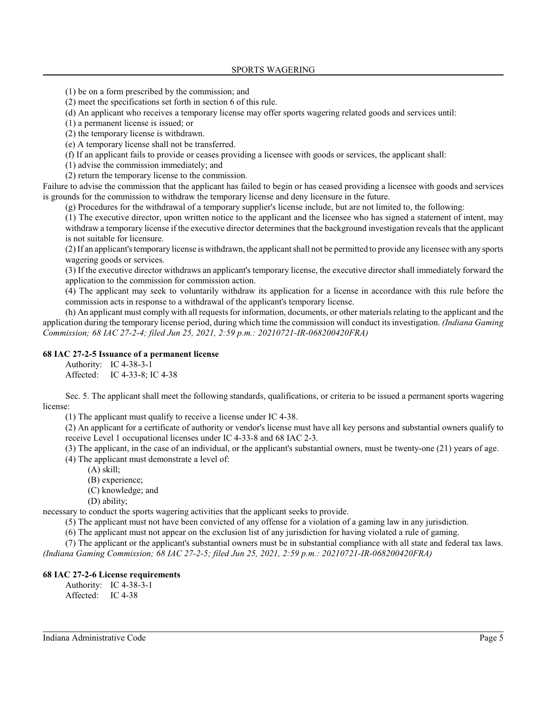(1) be on a form prescribed by the commission; and

(2) meet the specifications set forth in section 6 of this rule.

(d) An applicant who receives a temporary license may offer sports wagering related goods and services until:

(1) a permanent license is issued; or

(2) the temporary license is withdrawn.

(e) A temporary license shall not be transferred.

(f) If an applicant fails to provide or ceases providing a licensee with goods or services, the applicant shall:

(1) advise the commission immediately; and

(2) return the temporary license to the commission.

Failure to advise the commission that the applicant has failed to begin or has ceased providing a licensee with goods and services is grounds for the commission to withdraw the temporary license and deny licensure in the future.

(g) Procedures for the withdrawal of a temporary supplier's license include, but are not limited to, the following:

(1) The executive director, upon written notice to the applicant and the licensee who has signed a statement of intent, may withdraw a temporary license if the executive director determines that the background investigation reveals that the applicant is not suitable for licensure.

(2) If an applicant's temporary license is withdrawn, the applicant shall not be permitted to provide any licensee with any sports wagering goods or services.

(3) If the executive director withdraws an applicant's temporary license, the executive director shall immediately forward the application to the commission for commission action.

(4) The applicant may seek to voluntarily withdraw its application for a license in accordance with this rule before the commission acts in response to a withdrawal of the applicant's temporary license.

(h) An applicant must comply with all requestsfor information, documents, or other materials relating to the applicant and the application during the temporary license period, during which time the commission will conduct its investigation. *(Indiana Gaming Commission; 68 IAC 27-2-4; filed Jun 25, 2021, 2:59 p.m.: 20210721-IR-068200420FRA)*

### **68 IAC 27-2-5 Issuance of a permanent license**

Authority: IC 4-38-3-1 Affected: IC 4-33-8; IC 4-38

Sec. 5. The applicant shall meet the following standards, qualifications, or criteria to be issued a permanent sports wagering license:

(1) The applicant must qualify to receive a license under IC 4-38.

(2) An applicant for a certificate of authority or vendor's license must have all key persons and substantial owners qualify to receive Level 1 occupational licenses under IC 4-33-8 and 68 IAC 2-3.

(3) The applicant, in the case of an individual, or the applicant's substantial owners, must be twenty-one (21) years of age.

(4) The applicant must demonstrate a level of:

- (A) skill;
- (B) experience;
- (C) knowledge; and
- (D) ability;

necessary to conduct the sports wagering activities that the applicant seeks to provide.

(5) The applicant must not have been convicted of any offense for a violation of a gaming law in any jurisdiction.

(6) The applicant must not appear on the exclusion list of any jurisdiction for having violated a rule of gaming.

(7) The applicant or the applicant's substantial owners must be in substantial compliance with all state and federal tax laws.

*(Indiana Gaming Commission; 68 IAC 27-2-5; filed Jun 25, 2021, 2:59 p.m.: 20210721-IR-068200420FRA)*

#### **68 IAC 27-2-6 License requirements**

Authority: IC 4-38-3-1 Affected: IC 4-38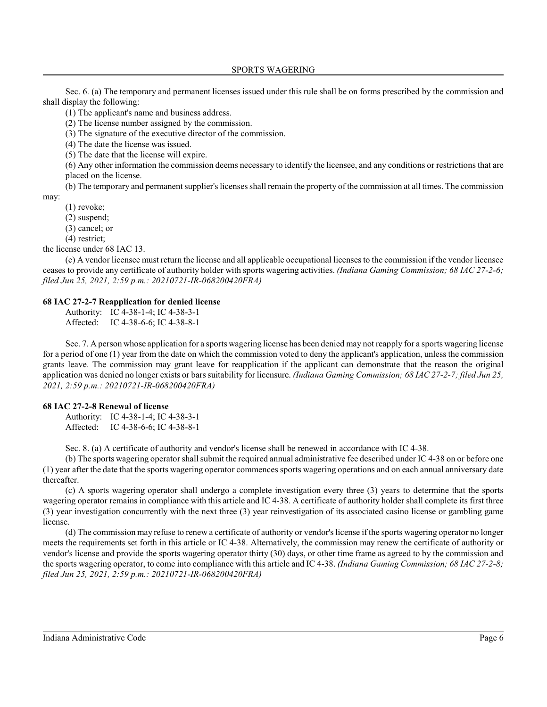Sec. 6. (a) The temporary and permanent licenses issued under this rule shall be on forms prescribed by the commission and shall display the following:

(1) The applicant's name and business address.

(2) The license number assigned by the commission.

(3) The signature of the executive director of the commission.

(4) The date the license was issued.

(5) The date that the license will expire.

(6) Any other information the commission deems necessary to identify the licensee, and any conditions or restrictions that are placed on the license.

(b) The temporary and permanent supplier's licenses shall remain the property of the commission at all times. The commission may:

(1) revoke;

(2) suspend;

(3) cancel; or

(4) restrict;

the license under 68 IAC 13.

(c) A vendor licensee must return the license and all applicable occupational licenses to the commission if the vendor licensee ceases to provide any certificate of authority holder with sports wagering activities. *(Indiana Gaming Commission; 68 IAC 27-2-6; filed Jun 25, 2021, 2:59 p.m.: 20210721-IR-068200420FRA)*

### **68 IAC 27-2-7 Reapplication for denied license**

Authority: IC 4-38-1-4; IC 4-38-3-1

Affected: IC 4-38-6-6; IC 4-38-8-1

Sec. 7. A person whose application for a sports wagering license has been denied may not reapply for a sports wagering license for a period of one (1) year from the date on which the commission voted to deny the applicant's application, unless the commission grants leave. The commission may grant leave for reapplication if the applicant can demonstrate that the reason the original application was denied no longer exists or bars suitability for licensure. *(Indiana Gaming Commission; 68 IAC 27-2-7; filed Jun 25, 2021, 2:59 p.m.: 20210721-IR-068200420FRA)*

#### **68 IAC 27-2-8 Renewal of license**

Authority: IC 4-38-1-4; IC 4-38-3-1 Affected: IC 4-38-6-6; IC 4-38-8-1

Sec. 8. (a) A certificate of authority and vendor's license shall be renewed in accordance with IC 4-38.

(b) The sports wagering operator shall submit the required annual administrative fee described under IC 4-38 on or before one (1) year after the date that the sports wagering operator commences sports wagering operations and on each annual anniversary date thereafter.

(c) A sports wagering operator shall undergo a complete investigation every three (3) years to determine that the sports wagering operator remains in compliance with this article and IC 4-38. A certificate of authority holder shall complete its first three (3) year investigation concurrently with the next three (3) year reinvestigation of its associated casino license or gambling game license.

(d) The commission may refuse to renew a certificate of authority or vendor'slicense if the sports wagering operator no longer meets the requirements set forth in this article or IC 4-38. Alternatively, the commission may renew the certificate of authority or vendor's license and provide the sports wagering operator thirty (30) days, or other time frame as agreed to by the commission and the sports wagering operator, to come into compliance with this article and IC 4-38. *(Indiana Gaming Commission; 68 IAC 27-2-8; filed Jun 25, 2021, 2:59 p.m.: 20210721-IR-068200420FRA)*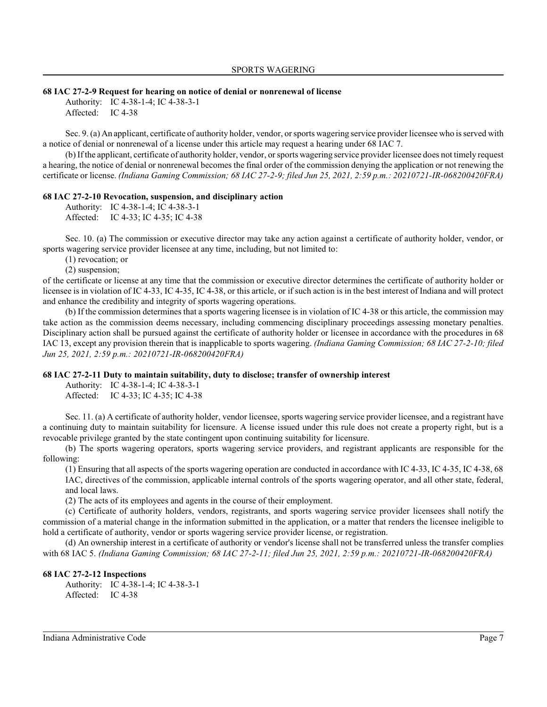#### **68 IAC 27-2-9 Request for hearing on notice of denial or nonrenewal of license**

Authority: IC 4-38-1-4; IC 4-38-3-1 Affected: IC 4-38

Sec. 9. (a) An applicant, certificate of authority holder, vendor, orsports wagering service provider licensee who is served with a notice of denial or nonrenewal of a license under this article may request a hearing under 68 IAC 7.

(b) If the applicant, certificate of authority holder, vendor, orsports wagering service provider licensee does not timely request a hearing, the notice of denial or nonrenewal becomes the final order of the commission denying the application or not renewing the certificate or license. *(Indiana Gaming Commission; 68 IAC 27-2-9; filed Jun 25, 2021, 2:59 p.m.: 20210721-IR-068200420FRA)*

### **68 IAC 27-2-10 Revocation, suspension, and disciplinary action**

Authority: IC 4-38-1-4; IC 4-38-3-1 Affected: IC 4-33; IC 4-35; IC 4-38

Sec. 10. (a) The commission or executive director may take any action against a certificate of authority holder, vendor, or sports wagering service provider licensee at any time, including, but not limited to:

(1) revocation; or

(2) suspension;

of the certificate or license at any time that the commission or executive director determines the certificate of authority holder or licensee is in violation of IC 4-33, IC 4-35, IC 4-38, or this article, or if such action is in the best interest of Indiana and will protect and enhance the credibility and integrity of sports wagering operations.

(b) If the commission determines that a sports wagering licensee is in violation of IC 4-38 or this article, the commission may take action as the commission deems necessary, including commencing disciplinary proceedings assessing monetary penalties. Disciplinary action shall be pursued against the certificate of authority holder or licensee in accordance with the procedures in 68 IAC 13, except any provision therein that is inapplicable to sports wagering. *(Indiana Gaming Commission; 68 IAC 27-2-10; filed Jun 25, 2021, 2:59 p.m.: 20210721-IR-068200420FRA)*

#### **68 IAC 27-2-11 Duty to maintain suitability, duty to disclose; transfer of ownership interest**

Authority: IC 4-38-1-4; IC 4-38-3-1 Affected: IC 4-33; IC 4-35; IC 4-38

Sec. 11. (a) A certificate of authority holder, vendor licensee, sports wagering service provider licensee, and a registrant have a continuing duty to maintain suitability for licensure. A license issued under this rule does not create a property right, but is a revocable privilege granted by the state contingent upon continuing suitability for licensure.

(b) The sports wagering operators, sports wagering service providers, and registrant applicants are responsible for the following:

(1) Ensuring that all aspects of the sports wagering operation are conducted in accordance with IC 4-33, IC 4-35, IC 4-38, 68 IAC, directives of the commission, applicable internal controls of the sports wagering operator, and all other state, federal, and local laws.

(2) The acts of its employees and agents in the course of their employment.

(c) Certificate of authority holders, vendors, registrants, and sports wagering service provider licensees shall notify the commission of a material change in the information submitted in the application, or a matter that renders the licensee ineligible to hold a certificate of authority, vendor or sports wagering service provider license, or registration.

(d) An ownership interest in a certificate of authority or vendor's license shall not be transferred unless the transfer complies with 68 IAC 5. *(Indiana Gaming Commission; 68 IAC 27-2-11; filed Jun 25, 2021, 2:59 p.m.: 20210721-IR-068200420FRA)*

#### **68 IAC 27-2-12 Inspections**

Authority: IC 4-38-1-4; IC 4-38-3-1 Affected: IC 4-38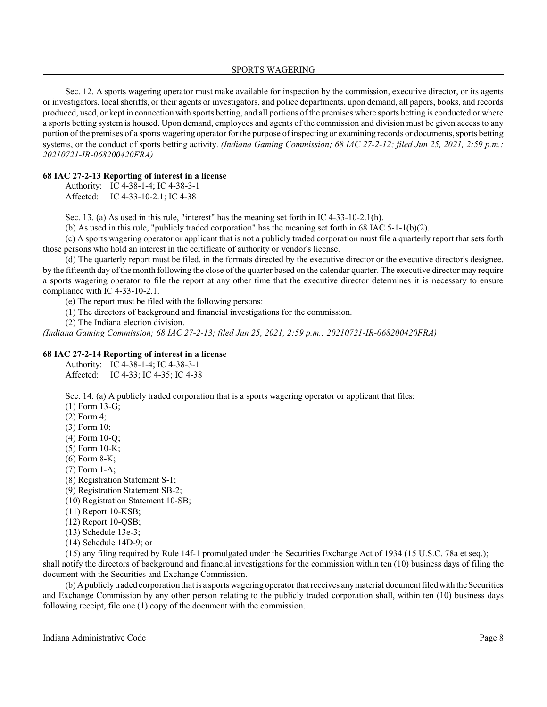Sec. 12. A sports wagering operator must make available for inspection by the commission, executive director, or its agents or investigators, local sheriffs, or their agents or investigators, and police departments, upon demand, all papers, books, and records produced, used, or kept in connection with sports betting, and all portions of the premises where sports betting is conducted or where a sports betting system is housed. Upon demand, employees and agents of the commission and division must be given access to any portion of the premises of a sports wagering operator for the purpose of inspecting or examining records or documents, sports betting systems, or the conduct of sports betting activity. *(Indiana Gaming Commission; 68 IAC 27-2-12; filed Jun 25, 2021, 2:59 p.m.: 20210721-IR-068200420FRA)*

### **68 IAC 27-2-13 Reporting of interest in a license**

Authority: IC 4-38-1-4; IC 4-38-3-1 Affected: IC 4-33-10-2.1; IC 4-38

Sec. 13. (a) As used in this rule, "interest" has the meaning set forth in IC 4-33-10-2.1(h).

(b) As used in this rule, "publicly traded corporation" has the meaning set forth in  $68$  IAC  $5-1-1(b)(2)$ .

(c) A sports wagering operator or applicant that is not a publicly traded corporation must file a quarterly report that sets forth those persons who hold an interest in the certificate of authority or vendor's license.

(d) The quarterly report must be filed, in the formats directed by the executive director or the executive director's designee, by the fifteenth day of the month following the close of the quarter based on the calendar quarter. The executive director may require a sports wagering operator to file the report at any other time that the executive director determines it is necessary to ensure compliance with IC 4-33-10-2.1.

(e) The report must be filed with the following persons:

(1) The directors of background and financial investigations for the commission.

(2) The Indiana election division.

*(Indiana Gaming Commission; 68 IAC 27-2-13; filed Jun 25, 2021, 2:59 p.m.: 20210721-IR-068200420FRA)*

### **68 IAC 27-2-14 Reporting of interest in a license**

Authority: IC 4-38-1-4; IC 4-38-3-1 Affected: IC 4-33; IC 4-35; IC 4-38

Sec. 14. (a) A publicly traded corporation that is a sports wagering operator or applicant that files:

(1) Form 13-G;

(2) Form 4;

(3) Form 10;

(4) Form 10-Q;

(5) Form 10-K;

(6) Form 8-K;

(7) Form 1-A;

(8) Registration Statement S-1;

(9) Registration Statement SB-2;

(10) Registration Statement 10-SB;

(11) Report 10-KSB;

(12) Report 10-QSB;

(13) Schedule 13e-3;

(14) Schedule 14D-9; or

(15) any filing required by Rule 14f-1 promulgated under the Securities Exchange Act of 1934 (15 U.S.C. 78a et seq.); shall notify the directors of background and financial investigations for the commission within ten (10) business days of filing the document with the Securities and Exchange Commission.

(b) Apublicly traded corporation that is a sports wagering operator that receives anymaterial document filed with the Securities and Exchange Commission by any other person relating to the publicly traded corporation shall, within ten (10) business days following receipt, file one (1) copy of the document with the commission.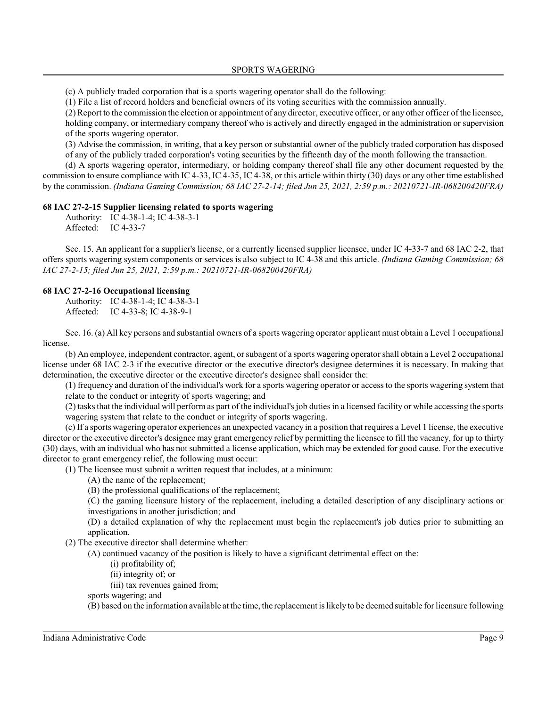(c) A publicly traded corporation that is a sports wagering operator shall do the following:

(1) File a list of record holders and beneficial owners of its voting securities with the commission annually.

(2) Report to the commission the election or appointment of any director, executive officer, or any other officer of the licensee, holding company, or intermediary company thereof who is actively and directly engaged in the administration or supervision of the sports wagering operator.

(3) Advise the commission, in writing, that a key person or substantial owner of the publicly traded corporation has disposed of any of the publicly traded corporation's voting securities by the fifteenth day of the month following the transaction.

(d) A sports wagering operator, intermediary, or holding company thereof shall file any other document requested by the commission to ensure compliance with IC 4-33, IC 4-35, IC 4-38, or this article within thirty (30) days or any other time established by the commission. *(Indiana Gaming Commission; 68 IAC 27-2-14; filed Jun 25, 2021, 2:59 p.m.: 20210721-IR-068200420FRA)*

### **68 IAC 27-2-15 Supplier licensing related to sports wagering**

Authority: IC 4-38-1-4; IC 4-38-3-1 Affected: IC 4-33-7

Sec. 15. An applicant for a supplier's license, or a currently licensed supplier licensee, under IC 4-33-7 and 68 IAC 2-2, that offers sports wagering system components or services is also subject to IC 4-38 and this article. *(Indiana Gaming Commission; 68 IAC 27-2-15; filed Jun 25, 2021, 2:59 p.m.: 20210721-IR-068200420FRA)*

### **68 IAC 27-2-16 Occupational licensing**

Authority: IC 4-38-1-4; IC 4-38-3-1 Affected: IC 4-33-8; IC 4-38-9-1

Sec. 16. (a) All key persons and substantial owners of a sports wagering operator applicant must obtain a Level 1 occupational license.

(b) An employee, independent contractor, agent, orsubagent of a sports wagering operator shall obtain a Level 2 occupational license under 68 IAC 2-3 if the executive director or the executive director's designee determines it is necessary. In making that determination, the executive director or the executive director's designee shall consider the:

(1) frequency and duration of the individual's work for a sports wagering operator or access to the sports wagering system that relate to the conduct or integrity of sports wagering; and

(2) tasksthat the individual will perform as part of the individual's job duties in a licensed facility or while accessing the sports wagering system that relate to the conduct or integrity of sports wagering.

(c) If a sports wagering operator experiences an unexpected vacancy in a position that requires a Level 1 license, the executive director or the executive director's designee may grant emergency relief by permitting the licensee to fill the vacancy, for up to thirty (30) days, with an individual who has not submitted a license application, which may be extended for good cause. For the executive director to grant emergency relief, the following must occur:

(1) The licensee must submit a written request that includes, at a minimum:

(A) the name of the replacement;

(B) the professional qualifications of the replacement;

(C) the gaming licensure history of the replacement, including a detailed description of any disciplinary actions or investigations in another jurisdiction; and

(D) a detailed explanation of why the replacement must begin the replacement's job duties prior to submitting an application.

(2) The executive director shall determine whether:

(A) continued vacancy of the position is likely to have a significant detrimental effect on the:

(i) profitability of;

(ii) integrity of; or

(iii) tax revenues gained from;

sports wagering; and

(B) based on the information available at the time, the replacement is likely to be deemed suitable for licensure following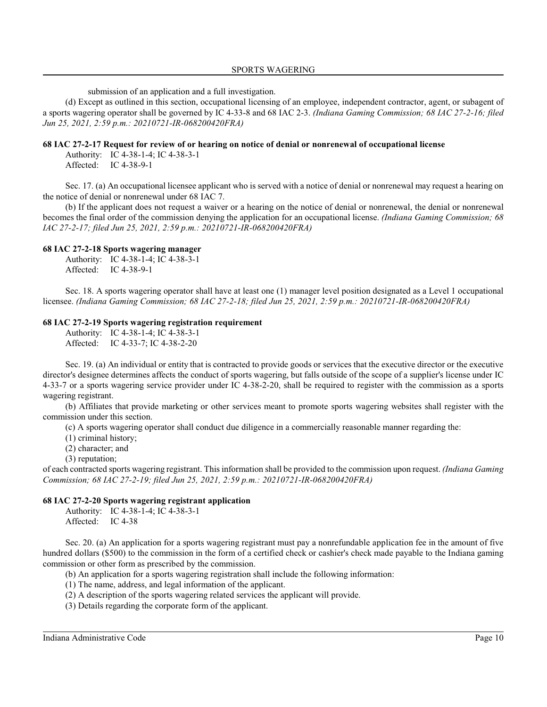submission of an application and a full investigation.

(d) Except as outlined in this section, occupational licensing of an employee, independent contractor, agent, or subagent of a sports wagering operator shall be governed by IC 4-33-8 and 68 IAC 2-3. *(Indiana Gaming Commission; 68 IAC 27-2-16; filed Jun 25, 2021, 2:59 p.m.: 20210721-IR-068200420FRA)*

### **68 IAC 27-2-17 Request for review of or hearing on notice of denial or nonrenewal of occupational license**

Authority: IC 4-38-1-4; IC 4-38-3-1 Affected: IC 4-38-9-1

Sec. 17. (a) An occupational licensee applicant who is served with a notice of denial or nonrenewal may request a hearing on the notice of denial or nonrenewal under 68 IAC 7.

(b) If the applicant does not request a waiver or a hearing on the notice of denial or nonrenewal, the denial or nonrenewal becomes the final order of the commission denying the application for an occupational license. *(Indiana Gaming Commission; 68 IAC 27-2-17; filed Jun 25, 2021, 2:59 p.m.: 20210721-IR-068200420FRA)*

### **68 IAC 27-2-18 Sports wagering manager**

Authority: IC 4-38-1-4; IC 4-38-3-1 Affected: IC 4-38-9-1

Sec. 18. A sports wagering operator shall have at least one (1) manager level position designated as a Level 1 occupational licensee. *(Indiana Gaming Commission; 68 IAC 27-2-18; filed Jun 25, 2021, 2:59 p.m.: 20210721-IR-068200420FRA)*

#### **68 IAC 27-2-19 Sports wagering registration requirement**

Authority: IC 4-38-1-4; IC 4-38-3-1 Affected: IC 4-33-7; IC 4-38-2-20

Sec. 19. (a) An individual or entity that is contracted to provide goods or services that the executive director or the executive director's designee determines affects the conduct of sports wagering, but falls outside of the scope of a supplier's license under IC 4-33-7 or a sports wagering service provider under IC 4-38-2-20, shall be required to register with the commission as a sports wagering registrant.

(b) Affiliates that provide marketing or other services meant to promote sports wagering websites shall register with the commission under this section.

(c) A sports wagering operator shall conduct due diligence in a commercially reasonable manner regarding the:

(1) criminal history;

(2) character; and

(3) reputation;

of each contracted sports wagering registrant. Thisinformation shall be provided to the commission upon request. *(Indiana Gaming Commission; 68 IAC 27-2-19; filed Jun 25, 2021, 2:59 p.m.: 20210721-IR-068200420FRA)*

### **68 IAC 27-2-20 Sports wagering registrant application**

Authority: IC 4-38-1-4; IC 4-38-3-1 Affected: IC 4-38

Sec. 20. (a) An application for a sports wagering registrant must pay a nonrefundable application fee in the amount of five hundred dollars (\$500) to the commission in the form of a certified check or cashier's check made payable to the Indiana gaming commission or other form as prescribed by the commission.

(b) An application for a sports wagering registration shall include the following information:

(1) The name, address, and legal information of the applicant.

(2) A description of the sports wagering related services the applicant will provide.

(3) Details regarding the corporate form of the applicant.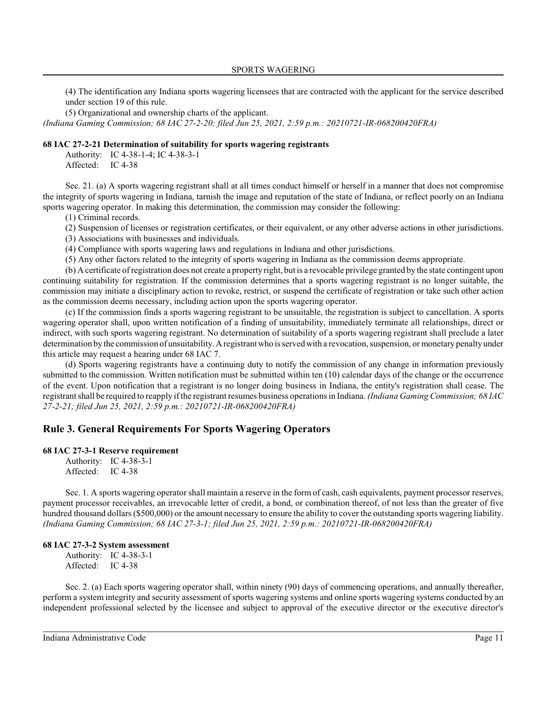(4) The identification any Indiana sports wagering licensees that are contracted with the applicant for the service described under section 19 of this rule.

(5) Organizational and ownership charts of the applicant.

*(Indiana Gaming Commission; 68 IAC 27-2-20; filed Jun 25, 2021, 2:59 p.m.: 20210721-IR-068200420FRA)*

#### **68 IAC 27-2-21 Determination of suitability for sports wagering registrants**

Authority: IC 4-38-1-4; IC 4-38-3-1 Affected: IC 4-38

Sec. 21. (a) A sports wagering registrant shall at all times conduct himself or herself in a manner that does not compromise the integrity of sports wagering in Indiana, tarnish the image and reputation of the state of Indiana, or reflect poorly on an Indiana sports wagering operator. In making this determination, the commission may consider the following:

(1) Criminal records.

(2) Suspension of licenses or registration certificates, or their equivalent, or any other adverse actions in other jurisdictions.

(3) Associations with businesses and individuals.

(4) Compliance with sports wagering laws and regulations in Indiana and other jurisdictions.

(5) Any other factors related to the integrity of sports wagering in Indiana as the commission deems appropriate.

(b) A certificate of registration does not create a property right, but is a revocable privilege granted by the state contingent upon continuing suitability for registration. If the commission determines that a sports wagering registrant is no longer suitable, the commission may initiate a disciplinary action to revoke, restrict, or suspend the certificate of registration or take such other action as the commission deems necessary, including action upon the sports wagering operator.

(c) If the commission finds a sports wagering registrant to be unsuitable, the registration is subject to cancellation. A sports wagering operator shall, upon written notification of a finding of unsuitability, immediately terminate all relationships, direct or indirect, with such sports wagering registrant. No determination of suitability of a sports wagering registrant shall preclude a later determination by the commission of unsuitability. Aregistrant who is served with a revocation, suspension, or monetary penalty under this article may request a hearing under 68 IAC 7.

(d) Sports wagering registrants have a continuing duty to notify the commission of any change in information previously submitted to the commission. Written notification must be submitted within ten (10) calendar days of the change or the occurrence of the event. Upon notification that a registrant is no longer doing business in Indiana, the entity's registration shall cease. The registrant shall be required to reapply if the registrant resumes business operations in Indiana. *(Indiana Gaming Commission; 68 IAC 27-2-21; filed Jun 25, 2021, 2:59 p.m.: 20210721-IR-068200420FRA)*

## **Rule 3. General Requirements For Sports Wagering Operators**

### **68 IAC 27-3-1 Reserve requirement**

Authority: IC 4-38-3-1 Affected: IC 4-38

Sec. 1. A sports wagering operator shall maintain a reserve in the form of cash, cash equivalents, payment processor reserves, payment processor receivables, an irrevocable letter of credit, a bond, or combination thereof, of not less than the greater of five hundred thousand dollars (\$500,000) or the amount necessary to ensure the ability to cover the outstanding sports wagering liability. *(Indiana Gaming Commission; 68 IAC 27-3-1; filed Jun 25, 2021, 2:59 p.m.: 20210721-IR-068200420FRA)*

#### **68 IAC 27-3-2 System assessment**

Authority: IC 4-38-3-1 Affected: IC 4-38

Sec. 2. (a) Each sports wagering operator shall, within ninety (90) days of commencing operations, and annually thereafter, perform a system integrity and security assessment of sports wagering systems and online sports wagering systems conducted by an independent professional selected by the licensee and subject to approval of the executive director or the executive director's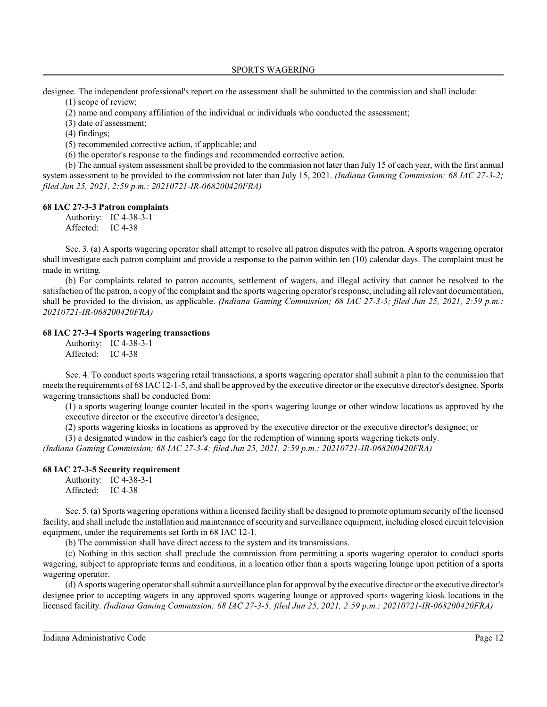designee. The independent professional's report on the assessment shall be submitted to the commission and shall include:

(1) scope of review;

(2) name and company affiliation of the individual or individuals who conducted the assessment;

(3) date of assessment;

(4) findings;

(5) recommended corrective action, if applicable; and

(6) the operator's response to the findings and recommended corrective action.

(b) The annual system assessment shall be provided to the commission not later than July 15 of each year, with the first annual system assessment to be provided to the commission not later than July 15, 2021. *(Indiana Gaming Commission; 68 IAC 27-3-2; filed Jun 25, 2021, 2:59 p.m.: 20210721-IR-068200420FRA)*

### **68 IAC 27-3-3 Patron complaints**

Authority: IC 4-38-3-1

Affected: IC 4-38

Sec. 3. (a) A sports wagering operator shall attempt to resolve all patron disputes with the patron. A sports wagering operator shall investigate each patron complaint and provide a response to the patron within ten (10) calendar days. The complaint must be made in writing.

(b) For complaints related to patron accounts, settlement of wagers, and illegal activity that cannot be resolved to the satisfaction of the patron, a copy of the complaint and the sports wagering operator'sresponse, including all relevant documentation, shall be provided to the division, as applicable. *(Indiana Gaming Commission; 68 IAC 27-3-3; filed Jun 25, 2021, 2:59 p.m.: 20210721-IR-068200420FRA)*

### **68 IAC 27-3-4 Sports wagering transactions**

Authority: IC 4-38-3-1 Affected: IC 4-38

Sec. 4. To conduct sports wagering retail transactions, a sports wagering operator shall submit a plan to the commission that meets the requirements of 68 IAC12-1-5, and shall be approved by the executive director or the executive director's designee. Sports wagering transactions shall be conducted from:

(1) a sports wagering lounge counter located in the sports wagering lounge or other window locations as approved by the executive director or the executive director's designee;

(2) sports wagering kiosks in locations as approved by the executive director or the executive director's designee; or

(3) a designated window in the cashier's cage for the redemption of winning sports wagering tickets only.

*(Indiana Gaming Commission; 68 IAC 27-3-4; filed Jun 25, 2021, 2:59 p.m.: 20210721-IR-068200420FRA)*

#### **68 IAC 27-3-5 Security requirement**

Authority: IC 4-38-3-1 Affected: IC 4-38

Sec. 5. (a) Sports wagering operations within a licensed facility shall be designed to promote optimum security of the licensed facility, and shall include the installation and maintenance of security and surveillance equipment, including closed circuit television equipment, under the requirements set forth in 68 IAC 12-1.

(b) The commission shall have direct access to the system and its transmissions.

(c) Nothing in this section shall preclude the commission from permitting a sports wagering operator to conduct sports wagering, subject to appropriate terms and conditions, in a location other than a sports wagering lounge upon petition of a sports wagering operator.

(d) A sports wagering operator shall submit a surveillance plan for approval by the executive director or the executive director's designee prior to accepting wagers in any approved sports wagering lounge or approved sports wagering kiosk locations in the licensed facility. *(Indiana Gaming Commission; 68 IAC 27-3-5; filed Jun 25, 2021, 2:59 p.m.: 20210721-IR-068200420FRA)*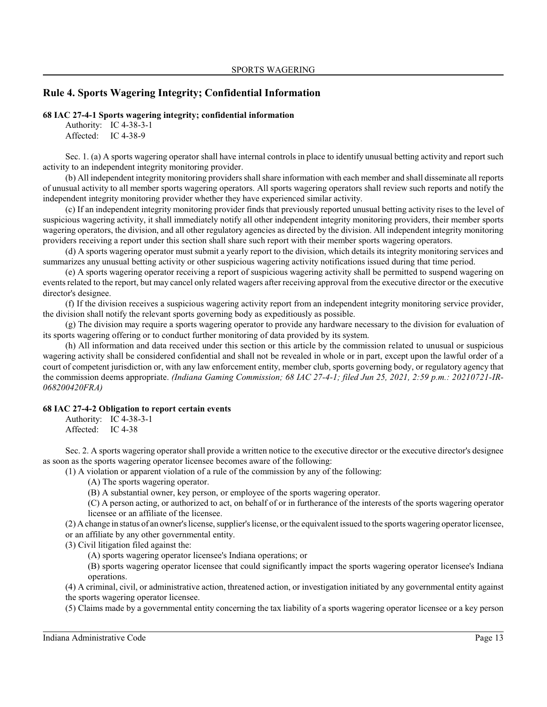## **Rule 4. Sports Wagering Integrity; Confidential Information**

### **68 IAC 27-4-1 Sports wagering integrity; confidential information**

Authority: IC 4-38-3-1 Affected: IC 4-38-9

Sec. 1. (a) A sports wagering operator shall have internal controls in place to identify unusual betting activity and report such activity to an independent integrity monitoring provider.

(b) All independent integrity monitoring providers shall share information with each member and shall disseminate all reports of unusual activity to all member sports wagering operators. All sports wagering operators shall review such reports and notify the independent integrity monitoring provider whether they have experienced similar activity.

(c) If an independent integrity monitoring provider finds that previously reported unusual betting activity rises to the level of suspicious wagering activity, it shall immediately notify all other independent integrity monitoring providers, their member sports wagering operators, the division, and all other regulatory agencies as directed by the division. All independent integrity monitoring providers receiving a report under this section shall share such report with their member sports wagering operators.

(d) A sports wagering operator must submit a yearly report to the division, which details its integrity monitoring services and summarizes any unusual betting activity or other suspicious wagering activity notifications issued during that time period.

(e) A sports wagering operator receiving a report of suspicious wagering activity shall be permitted to suspend wagering on events related to the report, but may cancel only related wagers after receiving approval from the executive director or the executive director's designee.

(f) If the division receives a suspicious wagering activity report from an independent integrity monitoring service provider, the division shall notify the relevant sports governing body as expeditiously as possible.

(g) The division may require a sports wagering operator to provide any hardware necessary to the division for evaluation of its sports wagering offering or to conduct further monitoring of data provided by its system.

(h) All information and data received under this section or this article by the commission related to unusual or suspicious wagering activity shall be considered confidential and shall not be revealed in whole or in part, except upon the lawful order of a court of competent jurisdiction or, with any law enforcement entity, member club, sports governing body, or regulatory agency that the commission deems appropriate. *(Indiana Gaming Commission; 68 IAC 27-4-1; filed Jun 25, 2021, 2:59 p.m.: 20210721-IR-068200420FRA)*

### **68 IAC 27-4-2 Obligation to report certain events**

Authority: IC 4-38-3-1 Affected: IC 4-38

Sec. 2. A sports wagering operator shall provide a written notice to the executive director or the executive director's designee as soon as the sports wagering operator licensee becomes aware of the following:

(1) A violation or apparent violation of a rule of the commission by any of the following:

(A) The sports wagering operator.

(B) A substantial owner, key person, or employee of the sports wagering operator.

(C) A person acting, or authorized to act, on behalf of or in furtherance of the interests of the sports wagering operator licensee or an affiliate of the licensee.

(2) A change in status of an owner's license, supplier's license, or the equivalent issued to the sports wagering operator licensee,

or an affiliate by any other governmental entity.

(3) Civil litigation filed against the:

(A) sports wagering operator licensee's Indiana operations; or

(B) sports wagering operator licensee that could significantly impact the sports wagering operator licensee's Indiana operations.

(4) A criminal, civil, or administrative action, threatened action, or investigation initiated by any governmental entity against the sports wagering operator licensee.

(5) Claims made by a governmental entity concerning the tax liability of a sports wagering operator licensee or a key person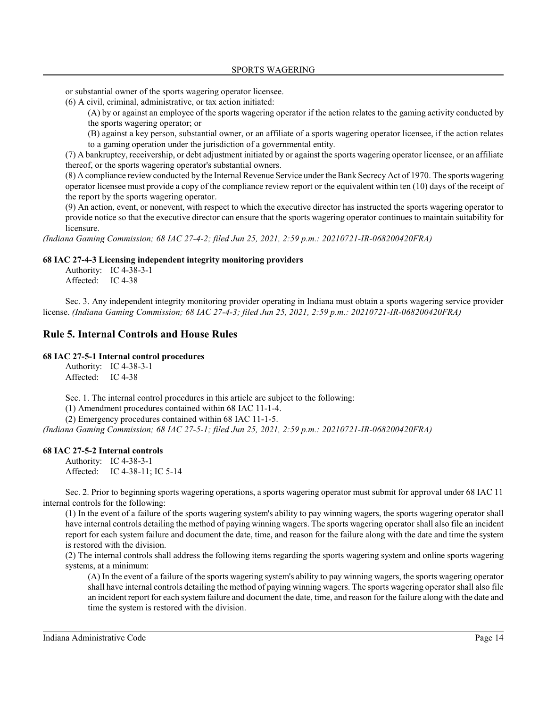or substantial owner of the sports wagering operator licensee.

(6) A civil, criminal, administrative, or tax action initiated:

(A) by or against an employee of the sports wagering operator if the action relates to the gaming activity conducted by the sports wagering operator; or

(B) against a key person, substantial owner, or an affiliate of a sports wagering operator licensee, if the action relates to a gaming operation under the jurisdiction of a governmental entity.

(7) A bankruptcy, receivership, or debt adjustment initiated by or against the sports wagering operator licensee, or an affiliate thereof, or the sports wagering operator's substantial owners.

(8) A compliance review conducted by the Internal Revenue Service under the Bank Secrecy Act of 1970. The sports wagering operator licensee must provide a copy of the compliance review report or the equivalent within ten (10) days of the receipt of the report by the sports wagering operator.

(9) An action, event, or nonevent, with respect to which the executive director has instructed the sports wagering operator to provide notice so that the executive director can ensure that the sports wagering operator continues to maintain suitability for licensure.

*(Indiana Gaming Commission; 68 IAC 27-4-2; filed Jun 25, 2021, 2:59 p.m.: 20210721-IR-068200420FRA)*

### **68 IAC 27-4-3 Licensing independent integrity monitoring providers**

Authority: IC 4-38-3-1 Affected: IC 4-38

Sec. 3. Any independent integrity monitoring provider operating in Indiana must obtain a sports wagering service provider license. *(Indiana Gaming Commission; 68 IAC 27-4-3; filed Jun 25, 2021, 2:59 p.m.: 20210721-IR-068200420FRA)*

### **Rule 5. Internal Controls and House Rules**

### **68 IAC 27-5-1 Internal control procedures**

Authority: IC 4-38-3-1 Affected: IC 4-38

Sec. 1. The internal control procedures in this article are subject to the following:

(1) Amendment procedures contained within 68 IAC 11-1-4.

(2) Emergency procedures contained within 68 IAC 11-1-5.

*(Indiana Gaming Commission; 68 IAC 27-5-1; filed Jun 25, 2021, 2:59 p.m.: 20210721-IR-068200420FRA)*

#### **68 IAC 27-5-2 Internal controls**

Authority: IC 4-38-3-1 Affected: IC 4-38-11; IC 5-14

Sec. 2. Prior to beginning sports wagering operations, a sports wagering operator must submit for approval under 68 IAC 11 internal controls for the following:

(1) In the event of a failure of the sports wagering system's ability to pay winning wagers, the sports wagering operator shall have internal controls detailing the method of paying winning wagers. The sports wagering operator shall also file an incident report for each system failure and document the date, time, and reason for the failure along with the date and time the system is restored with the division.

(2) The internal controls shall address the following items regarding the sports wagering system and online sports wagering systems, at a minimum:

(A) In the event of a failure of the sports wagering system's ability to pay winning wagers, the sports wagering operator shall have internal controls detailing the method of paying winning wagers. The sports wagering operator shall also file an incident report for each system failure and document the date, time, and reason for the failure along with the date and time the system is restored with the division.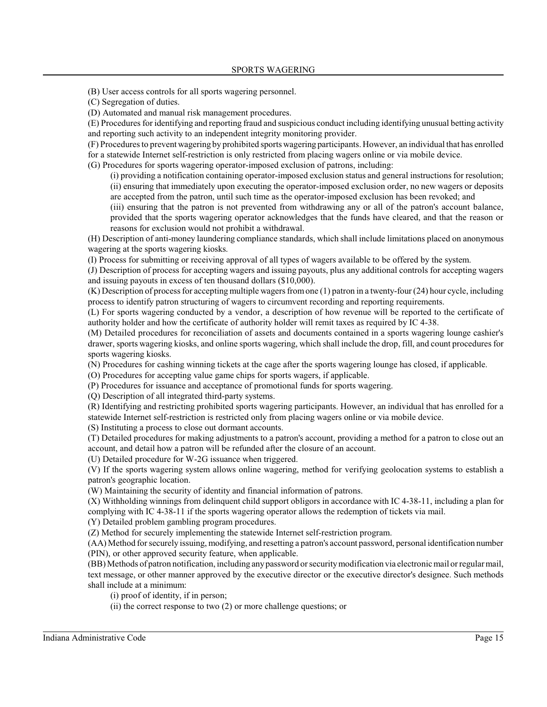(B) User access controls for all sports wagering personnel.

(C) Segregation of duties.

(D) Automated and manual risk management procedures.

(E) Procedures for identifying and reporting fraud and suspicious conduct including identifying unusual betting activity and reporting such activity to an independent integrity monitoring provider.

(F) Procedures to prevent wagering by prohibited sports wagering participants. However, an individual that has enrolled for a statewide Internet self-restriction is only restricted from placing wagers online or via mobile device.

(G) Procedures for sports wagering operator-imposed exclusion of patrons, including:

(i) providing a notification containing operator-imposed exclusion status and general instructions for resolution; (ii) ensuring that immediately upon executing the operator-imposed exclusion order, no new wagers or deposits are accepted from the patron, until such time as the operator-imposed exclusion has been revoked; and

(iii) ensuring that the patron is not prevented from withdrawing any or all of the patron's account balance, provided that the sports wagering operator acknowledges that the funds have cleared, and that the reason or reasons for exclusion would not prohibit a withdrawal.

(H) Description of anti-money laundering compliance standards, which shall include limitations placed on anonymous wagering at the sports wagering kiosks.

(I) Process for submitting or receiving approval of all types of wagers available to be offered by the system.

(J) Description of process for accepting wagers and issuing payouts, plus any additional controls for accepting wagers and issuing payouts in excess of ten thousand dollars (\$10,000).

 $(K)$  Description of process for accepting multiple wagers from one (1) patron in a twenty-four (24) hour cycle, including process to identify patron structuring of wagers to circumvent recording and reporting requirements.

(L) For sports wagering conducted by a vendor, a description of how revenue will be reported to the certificate of authority holder and how the certificate of authority holder will remit taxes as required by IC 4-38.

(M) Detailed procedures for reconciliation of assets and documents contained in a sports wagering lounge cashier's drawer, sports wagering kiosks, and online sports wagering, which shall include the drop, fill, and count procedures for sports wagering kiosks.

(N) Procedures for cashing winning tickets at the cage after the sports wagering lounge has closed, if applicable.

(O) Procedures for accepting value game chips for sports wagers, if applicable.

(P) Procedures for issuance and acceptance of promotional funds for sports wagering.

(Q) Description of all integrated third-party systems.

(R) Identifying and restricting prohibited sports wagering participants. However, an individual that has enrolled for a statewide Internet self-restriction is restricted only from placing wagers online or via mobile device.

(S) Instituting a process to close out dormant accounts.

(T) Detailed procedures for making adjustments to a patron's account, providing a method for a patron to close out an account, and detail how a patron will be refunded after the closure of an account.

(U) Detailed procedure for W-2G issuance when triggered.

(V) If the sports wagering system allows online wagering, method for verifying geolocation systems to establish a patron's geographic location.

(W) Maintaining the security of identity and financial information of patrons.

(X) Withholding winnings from delinquent child support obligors in accordance with IC 4-38-11, including a plan for complying with IC 4-38-11 if the sports wagering operator allows the redemption of tickets via mail.

(Y) Detailed problem gambling program procedures.

(Z) Method for securely implementing the statewide Internet self-restriction program.

(AA) Method for securely issuing, modifying, and resetting a patron's account password, personal identification number (PIN), or other approved security feature, when applicable.

(BB) Methods of patron notification, including anypassword orsecuritymodification via electronic mail orregular mail, text message, or other manner approved by the executive director or the executive director's designee. Such methods shall include at a minimum:

(i) proof of identity, if in person;

(ii) the correct response to two (2) or more challenge questions; or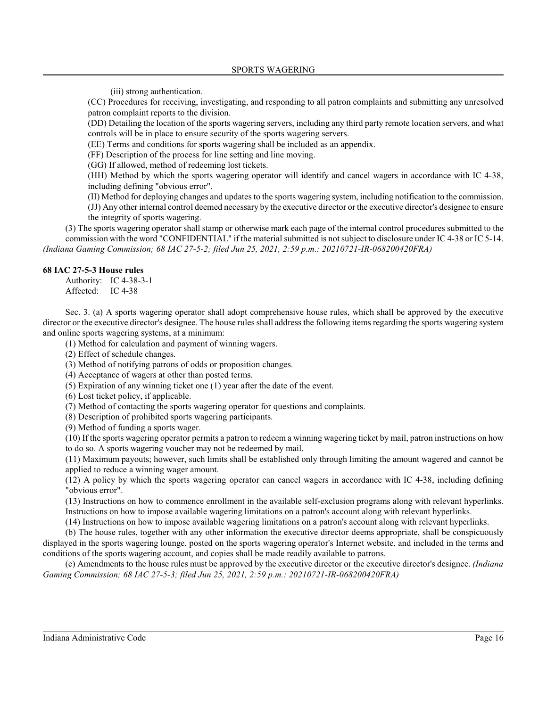(iii) strong authentication.

(CC) Procedures for receiving, investigating, and responding to all patron complaints and submitting any unresolved patron complaint reports to the division.

(DD) Detailing the location of the sports wagering servers, including any third party remote location servers, and what controls will be in place to ensure security of the sports wagering servers.

(EE) Terms and conditions for sports wagering shall be included as an appendix.

(FF) Description of the process for line setting and line moving.

(GG) If allowed, method of redeeming lost tickets.

(HH) Method by which the sports wagering operator will identify and cancel wagers in accordance with IC 4-38, including defining "obvious error".

(II) Method for deploying changes and updates to the sports wagering system, including notification to the commission.

(JJ) Any other internal control deemed necessary by the executive director or the executive director's designee to ensure the integrity of sports wagering.

(3) The sports wagering operator shall stamp or otherwise mark each page of the internal control procedures submitted to the commission with the word "CONFIDENTIAL" if the material submitted is not subject to disclosure under IC 4-38 or IC 5-14. *(Indiana Gaming Commission; 68 IAC 27-5-2; filed Jun 25, 2021, 2:59 p.m.: 20210721-IR-068200420FRA)*

### **68 IAC 27-5-3 House rules**

Authority: IC 4-38-3-1 Affected: IC 4-38

Sec. 3. (a) A sports wagering operator shall adopt comprehensive house rules, which shall be approved by the executive director or the executive director's designee. The house rules shall address the following items regarding the sports wagering system and online sports wagering systems, at a minimum:

(1) Method for calculation and payment of winning wagers.

(2) Effect of schedule changes.

(3) Method of notifying patrons of odds or proposition changes.

(4) Acceptance of wagers at other than posted terms.

(5) Expiration of any winning ticket one (1) year after the date of the event.

(6) Lost ticket policy, if applicable.

(7) Method of contacting the sports wagering operator for questions and complaints.

(8) Description of prohibited sports wagering participants.

(9) Method of funding a sports wager.

(10) If the sports wagering operator permits a patron to redeem a winning wagering ticket by mail, patron instructions on how to do so. A sports wagering voucher may not be redeemed by mail.

(11) Maximum payouts; however, such limits shall be established only through limiting the amount wagered and cannot be applied to reduce a winning wager amount.

(12) A policy by which the sports wagering operator can cancel wagers in accordance with IC 4-38, including defining "obvious error".

(13) Instructions on how to commence enrollment in the available self-exclusion programs along with relevant hyperlinks. Instructions on how to impose available wagering limitations on a patron's account along with relevant hyperlinks.

(14) Instructions on how to impose available wagering limitations on a patron's account along with relevant hyperlinks.

(b) The house rules, together with any other information the executive director deems appropriate, shall be conspicuously displayed in the sports wagering lounge, posted on the sports wagering operator's Internet website, and included in the terms and conditions of the sports wagering account, and copies shall be made readily available to patrons.

(c) Amendments to the house rules must be approved by the executive director or the executive director's designee. *(Indiana Gaming Commission; 68 IAC 27-5-3; filed Jun 25, 2021, 2:59 p.m.: 20210721-IR-068200420FRA)*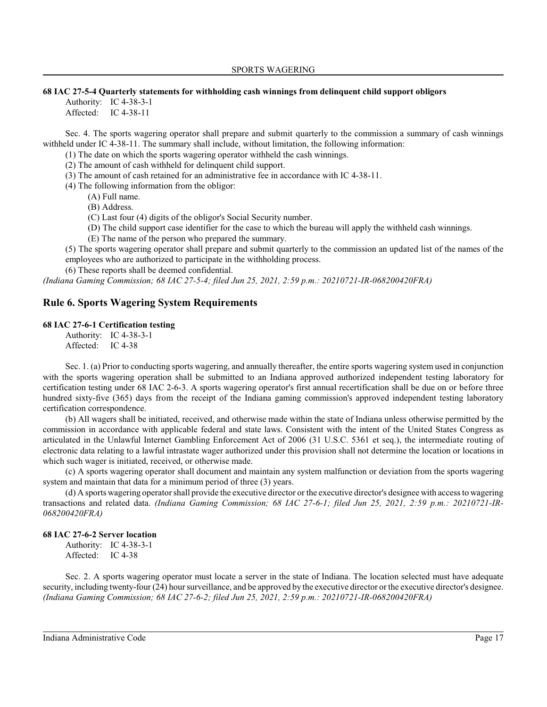#### **68 IAC 27-5-4 Quarterly statements for withholding cash winnings from delinquent child support obligors**

Authority: IC 4-38-3-1 Affected: IC 4-38-11

Sec. 4. The sports wagering operator shall prepare and submit quarterly to the commission a summary of cash winnings withheld under IC 4-38-11. The summary shall include, without limitation, the following information:

(1) The date on which the sports wagering operator withheld the cash winnings.

(2) The amount of cash withheld for delinquent child support.

(3) The amount of cash retained for an administrative fee in accordance with IC 4-38-11.

(4) The following information from the obligor:

(A) Full name.

(B) Address.

(C) Last four (4) digits of the obligor's Social Security number.

(D) The child support case identifier for the case to which the bureau will apply the withheld cash winnings.

(E) The name of the person who prepared the summary.

(5) The sports wagering operator shall prepare and submit quarterly to the commission an updated list of the names of the employees who are authorized to participate in the withholding process.

(6) These reports shall be deemed confidential.

*(Indiana Gaming Commission; 68 IAC 27-5-4; filed Jun 25, 2021, 2:59 p.m.: 20210721-IR-068200420FRA)*

## **Rule 6. Sports Wagering System Requirements**

### **68 IAC 27-6-1 Certification testing**

Authority: IC 4-38-3-1 Affected: IC 4-38

Sec. 1. (a) Prior to conducting sports wagering, and annually thereafter, the entire sports wagering system used in conjunction with the sports wagering operation shall be submitted to an Indiana approved authorized independent testing laboratory for certification testing under 68 IAC 2-6-3. A sports wagering operator's first annual recertification shall be due on or before three hundred sixty-five (365) days from the receipt of the Indiana gaming commission's approved independent testing laboratory certification correspondence.

(b) All wagers shall be initiated, received, and otherwise made within the state of Indiana unless otherwise permitted by the commission in accordance with applicable federal and state laws. Consistent with the intent of the United States Congress as articulated in the Unlawful Internet Gambling Enforcement Act of 2006 (31 U.S.C. 5361 et seq.), the intermediate routing of electronic data relating to a lawful intrastate wager authorized under this provision shall not determine the location or locations in which such wager is initiated, received, or otherwise made.

(c) A sports wagering operator shall document and maintain any system malfunction or deviation from the sports wagering system and maintain that data for a minimum period of three (3) years.

(d) A sports wagering operator shall provide the executive director or the executive director's designee with access to wagering transactions and related data. *(Indiana Gaming Commission; 68 IAC 27-6-1; filed Jun 25, 2021, 2:59 p.m.: 20210721-IR-068200420FRA)*

### **68 IAC 27-6-2 Server location**

Authority: IC 4-38-3-1 Affected: IC 4-38

Sec. 2. A sports wagering operator must locate a server in the state of Indiana. The location selected must have adequate security, including twenty-four (24) hour surveillance, and be approved by the executive director or the executive director's designee. *(Indiana Gaming Commission; 68 IAC 27-6-2; filed Jun 25, 2021, 2:59 p.m.: 20210721-IR-068200420FRA)*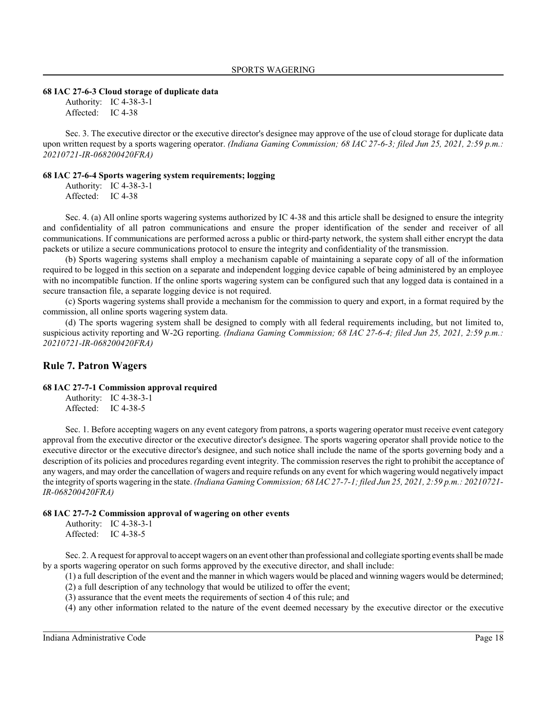#### **68 IAC 27-6-3 Cloud storage of duplicate data**

Authority: IC 4-38-3-1 Affected: IC 4-38

Sec. 3. The executive director or the executive director's designee may approve of the use of cloud storage for duplicate data upon written request by a sports wagering operator. *(Indiana Gaming Commission; 68 IAC 27-6-3; filed Jun 25, 2021, 2:59 p.m.: 20210721-IR-068200420FRA)*

### **68 IAC 27-6-4 Sports wagering system requirements; logging**

Authority: IC 4-38-3-1 Affected: IC 4-38

Sec. 4. (a) All online sports wagering systems authorized by IC 4-38 and this article shall be designed to ensure the integrity and confidentiality of all patron communications and ensure the proper identification of the sender and receiver of all communications. If communications are performed across a public or third-party network, the system shall either encrypt the data packets or utilize a secure communications protocol to ensure the integrity and confidentiality of the transmission.

(b) Sports wagering systems shall employ a mechanism capable of maintaining a separate copy of all of the information required to be logged in this section on a separate and independent logging device capable of being administered by an employee with no incompatible function. If the online sports wagering system can be configured such that any logged data is contained in a secure transaction file, a separate logging device is not required.

(c) Sports wagering systems shall provide a mechanism for the commission to query and export, in a format required by the commission, all online sports wagering system data.

(d) The sports wagering system shall be designed to comply with all federal requirements including, but not limited to, suspicious activity reporting and W-2G reporting. *(Indiana Gaming Commission; 68 IAC 27-6-4; filed Jun 25, 2021, 2:59 p.m.: 20210721-IR-068200420FRA)*

#### **Rule 7. Patron Wagers**

#### **68 IAC 27-7-1 Commission approval required**

Authority: IC 4-38-3-1 Affected: IC 4-38-5

Sec. 1. Before accepting wagers on any event category from patrons, a sports wagering operator must receive event category approval from the executive director or the executive director's designee. The sports wagering operator shall provide notice to the executive director or the executive director's designee, and such notice shall include the name of the sports governing body and a description of its policies and procedures regarding event integrity. The commission reserves the right to prohibit the acceptance of any wagers, and may order the cancellation of wagers and require refunds on any event for which wagering would negatively impact the integrity of sports wagering in the state. *(Indiana Gaming Commission; 68 IAC 27-7-1; filed Jun 25, 2021, 2:59 p.m.: 20210721- IR-068200420FRA)*

#### **68 IAC 27-7-2 Commission approval of wagering on other events**

Authority: IC 4-38-3-1 Affected: IC 4-38-5

Sec. 2. A request for approval to accept wagers on an event other than professional and collegiate sporting eventsshall be made by a sports wagering operator on such forms approved by the executive director, and shall include:

(1) a full description of the event and the manner in which wagers would be placed and winning wagers would be determined;

(2) a full description of any technology that would be utilized to offer the event;

(3) assurance that the event meets the requirements of section 4 of this rule; and

(4) any other information related to the nature of the event deemed necessary by the executive director or the executive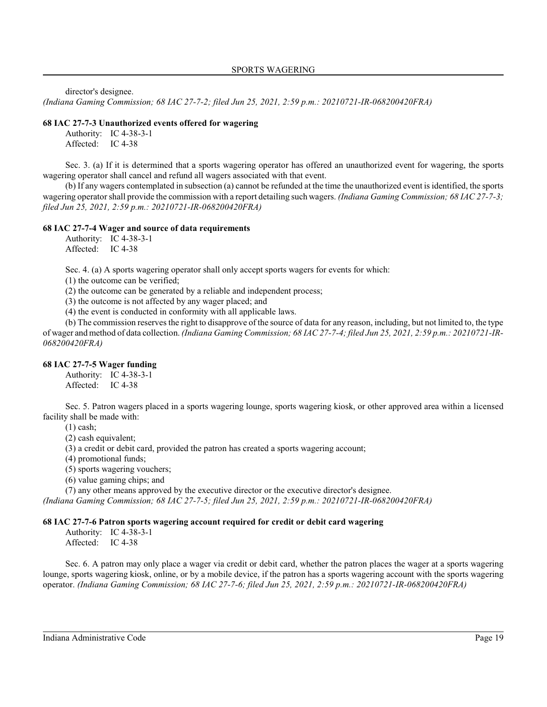director's designee.

*(Indiana Gaming Commission; 68 IAC 27-7-2; filed Jun 25, 2021, 2:59 p.m.: 20210721-IR-068200420FRA)*

### **68 IAC 27-7-3 Unauthorized events offered for wagering**

Authority: IC 4-38-3-1 Affected: IC 4-38

Sec. 3. (a) If it is determined that a sports wagering operator has offered an unauthorized event for wagering, the sports wagering operator shall cancel and refund all wagers associated with that event.

(b) If any wagers contemplated in subsection (a) cannot be refunded at the time the unauthorized event is identified, the sports wagering operator shall provide the commission with a report detailing such wagers. *(Indiana Gaming Commission; 68 IAC 27-7-3; filed Jun 25, 2021, 2:59 p.m.: 20210721-IR-068200420FRA)*

### **68 IAC 27-7-4 Wager and source of data requirements**

Authority: IC 4-38-3-1 Affected: IC 4-38

Sec. 4. (a) A sports wagering operator shall only accept sports wagers for events for which:

(1) the outcome can be verified;

(2) the outcome can be generated by a reliable and independent process;

(3) the outcome is not affected by any wager placed; and

(4) the event is conducted in conformity with all applicable laws.

(b) The commission reserves the right to disapprove of the source of data for any reason, including, but not limited to, the type of wager and method of data collection. *(Indiana Gaming Commission; 68 IAC 27-7-4; filed Jun 25, 2021, 2:59 p.m.: 20210721-IR-068200420FRA)*

### **68 IAC 27-7-5 Wager funding**

Authority: IC 4-38-3-1 Affected: IC 4-38

Sec. 5. Patron wagers placed in a sports wagering lounge, sports wagering kiosk, or other approved area within a licensed facility shall be made with:

(1) cash;

(2) cash equivalent;

(3) a credit or debit card, provided the patron has created a sports wagering account;

(4) promotional funds;

(5) sports wagering vouchers;

(6) value gaming chips; and

(7) any other means approved by the executive director or the executive director's designee.

*(Indiana Gaming Commission; 68 IAC 27-7-5; filed Jun 25, 2021, 2:59 p.m.: 20210721-IR-068200420FRA)*

### **68 IAC 27-7-6 Patron sports wagering account required for credit or debit card wagering**

Authority: IC 4-38-3-1 Affected: IC 4-38

Sec. 6. A patron may only place a wager via credit or debit card, whether the patron places the wager at a sports wagering lounge, sports wagering kiosk, online, or by a mobile device, if the patron has a sports wagering account with the sports wagering operator. *(Indiana Gaming Commission; 68 IAC 27-7-6; filed Jun 25, 2021, 2:59 p.m.: 20210721-IR-068200420FRA)*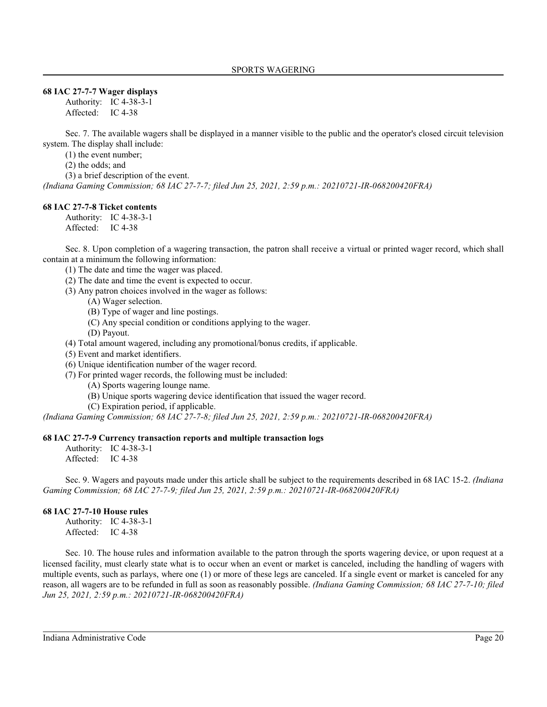#### **68 IAC 27-7-7 Wager displays**

Authority: IC 4-38-3-1 Affected: IC 4-38

Sec. 7. The available wagers shall be displayed in a manner visible to the public and the operator's closed circuit television system. The display shall include:

(1) the event number;

(2) the odds; and

(3) a brief description of the event.

*(Indiana Gaming Commission; 68 IAC 27-7-7; filed Jun 25, 2021, 2:59 p.m.: 20210721-IR-068200420FRA)*

### **68 IAC 27-7-8 Ticket contents**

Authority: IC 4-38-3-1 Affected: IC 4-38

Sec. 8. Upon completion of a wagering transaction, the patron shall receive a virtual or printed wager record, which shall contain at a minimum the following information:

(1) The date and time the wager was placed.

- (2) The date and time the event is expected to occur.
- (3) Any patron choices involved in the wager as follows:
	- (A) Wager selection.
	- (B) Type of wager and line postings.
	- (C) Any special condition or conditions applying to the wager.
	- (D) Payout.

(4) Total amount wagered, including any promotional/bonus credits, if applicable.

- (5) Event and market identifiers.
- (6) Unique identification number of the wager record.
- (7) For printed wager records, the following must be included:
	- (A) Sports wagering lounge name.
	- (B) Unique sports wagering device identification that issued the wager record.
	- (C) Expiration period, if applicable.

*(Indiana Gaming Commission; 68 IAC 27-7-8; filed Jun 25, 2021, 2:59 p.m.: 20210721-IR-068200420FRA)*

#### **68 IAC 27-7-9 Currency transaction reports and multiple transaction logs**

Authority: IC 4-38-3-1 Affected: IC 4-38

Sec. 9. Wagers and payouts made under this article shall be subject to the requirements described in 68 IAC 15-2. *(Indiana Gaming Commission; 68 IAC 27-7-9; filed Jun 25, 2021, 2:59 p.m.: 20210721-IR-068200420FRA)*

#### **68 IAC 27-7-10 House rules**

Authority: IC 4-38-3-1 Affected: IC 4-38

Sec. 10. The house rules and information available to the patron through the sports wagering device, or upon request at a licensed facility, must clearly state what is to occur when an event or market is canceled, including the handling of wagers with multiple events, such as parlays, where one (1) or more of these legs are canceled. If a single event or market is canceled for any reason, all wagers are to be refunded in full as soon as reasonably possible. *(Indiana Gaming Commission; 68 IAC 27-7-10; filed Jun 25, 2021, 2:59 p.m.: 20210721-IR-068200420FRA)*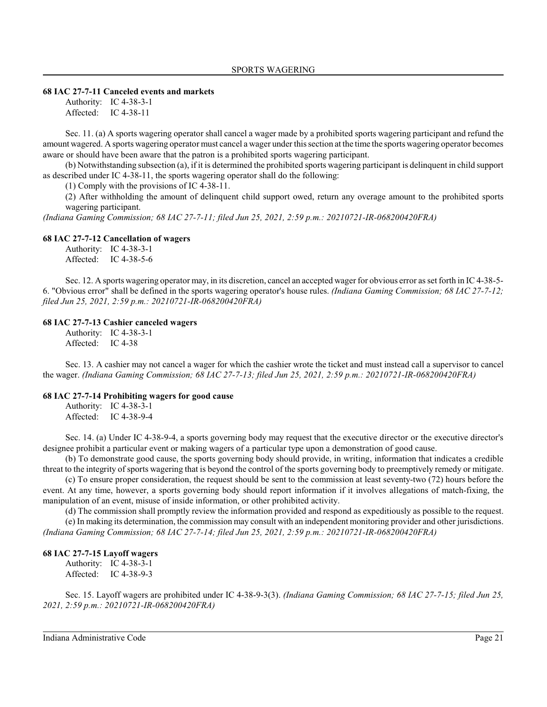#### **68 IAC 27-7-11 Canceled events and markets**

Authority: IC 4-38-3-1 Affected: IC 4-38-11

Sec. 11. (a) A sports wagering operator shall cancel a wager made by a prohibited sports wagering participant and refund the amount wagered. A sports wagering operator must cancel a wager under thissection at the time the sports wagering operator becomes aware or should have been aware that the patron is a prohibited sports wagering participant.

(b) Notwithstanding subsection (a), if it is determined the prohibited sports wagering participant is delinquent in child support as described under IC 4-38-11, the sports wagering operator shall do the following:

(1) Comply with the provisions of IC 4-38-11.

(2) After withholding the amount of delinquent child support owed, return any overage amount to the prohibited sports wagering participant.

*(Indiana Gaming Commission; 68 IAC 27-7-11; filed Jun 25, 2021, 2:59 p.m.: 20210721-IR-068200420FRA)*

#### **68 IAC 27-7-12 Cancellation of wagers**

Authority: IC 4-38-3-1 Affected: IC 4-38-5-6

Sec. 12. A sports wagering operator may, in its discretion, cancel an accepted wager for obvious error as set forth in IC 4-38-5- 6. "Obvious error" shall be defined in the sports wagering operator's house rules. *(Indiana Gaming Commission; 68 IAC 27-7-12; filed Jun 25, 2021, 2:59 p.m.: 20210721-IR-068200420FRA)*

#### **68 IAC 27-7-13 Cashier canceled wagers**

Authority: IC 4-38-3-1 Affected: IC 4-38

Sec. 13. A cashier may not cancel a wager for which the cashier wrote the ticket and must instead call a supervisor to cancel the wager. *(Indiana Gaming Commission; 68 IAC 27-7-13; filed Jun 25, 2021, 2:59 p.m.: 20210721-IR-068200420FRA)*

#### **68 IAC 27-7-14 Prohibiting wagers for good cause**

Authority: IC 4-38-3-1 Affected: IC 4-38-9-4

Sec. 14. (a) Under IC 4-38-9-4, a sports governing body may request that the executive director or the executive director's designee prohibit a particular event or making wagers of a particular type upon a demonstration of good cause.

(b) To demonstrate good cause, the sports governing body should provide, in writing, information that indicates a credible threat to the integrity of sports wagering that is beyond the control of the sports governing body to preemptively remedy or mitigate.

(c) To ensure proper consideration, the request should be sent to the commission at least seventy-two (72) hours before the event. At any time, however, a sports governing body should report information if it involves allegations of match-fixing, the manipulation of an event, misuse of inside information, or other prohibited activity.

(d) The commission shall promptly review the information provided and respond as expeditiously as possible to the request. (e) In making its determination, the commission may consult with an independent monitoring provider and other jurisdictions. *(Indiana Gaming Commission; 68 IAC 27-7-14; filed Jun 25, 2021, 2:59 p.m.: 20210721-IR-068200420FRA)*

#### **68 IAC 27-7-15 Layoff wagers**

Authority: IC 4-38-3-1 Affected: IC 4-38-9-3

Sec. 15. Layoff wagers are prohibited under IC 4-38-9-3(3). *(Indiana Gaming Commission; 68 IAC 27-7-15; filed Jun 25, 2021, 2:59 p.m.: 20210721-IR-068200420FRA)*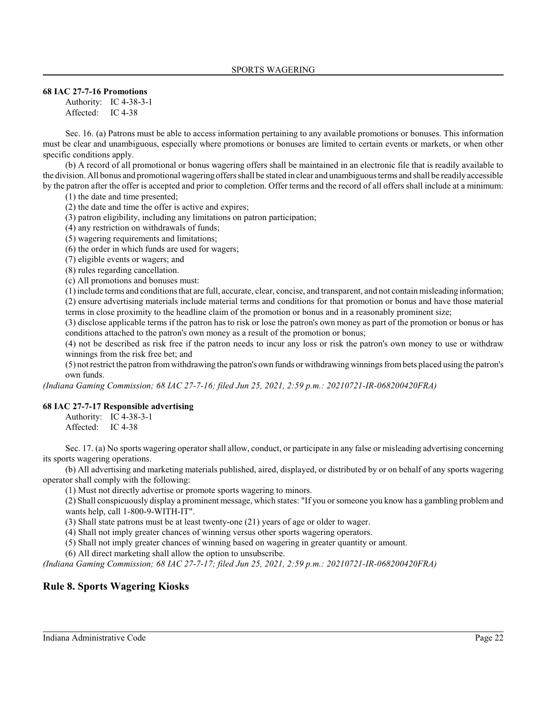#### **68 IAC 27-7-16 Promotions**

Authority: IC 4-38-3-1 Affected: IC 4-38

Sec. 16. (a) Patrons must be able to access information pertaining to any available promotions or bonuses. This information must be clear and unambiguous, especially where promotions or bonuses are limited to certain events or markets, or when other specific conditions apply.

(b) A record of all promotional or bonus wagering offers shall be maintained in an electronic file that is readily available to the division. All bonus and promotional wagering offers shall be stated in clear and unambiguousterms and shall be readily accessible by the patron after the offer is accepted and prior to completion. Offer terms and the record of all offers shall include at a minimum:

(1) the date and time presented;

(2) the date and time the offer is active and expires;

(3) patron eligibility, including any limitations on patron participation;

(4) any restriction on withdrawals of funds;

(5) wagering requirements and limitations;

(6) the order in which funds are used for wagers;

(7) eligible events or wagers; and

(8) rules regarding cancellation.

(c) All promotions and bonuses must:

(1) include terms and conditions that are full, accurate, clear, concise, and transparent, and not contain misleading information; (2) ensure advertising materials include material terms and conditions for that promotion or bonus and have those material terms in close proximity to the headline claim of the promotion or bonus and in a reasonably prominent size;

(3) disclose applicable terms if the patron has to risk or lose the patron's own money as part of the promotion or bonus or has conditions attached to the patron's own money as a result of the promotion or bonus;

(4) not be described as risk free if the patron needs to incur any loss or risk the patron's own money to use or withdraw winnings from the risk free bet; and

(5) not restrict the patron fromwithdrawing the patron's own funds or withdrawingwinnings frombets placed using the patron's own funds.

*(Indiana Gaming Commission; 68 IAC 27-7-16; filed Jun 25, 2021, 2:59 p.m.: 20210721-IR-068200420FRA)*

#### **68 IAC 27-7-17 Responsible advertising**

Authority: IC 4-38-3-1 Affected: IC 4-38

Sec. 17. (a) No sports wagering operator shall allow, conduct, or participate in any false or misleading advertising concerning its sports wagering operations.

(b) All advertising and marketing materials published, aired, displayed, or distributed by or on behalf of any sports wagering operator shall comply with the following:

(1) Must not directly advertise or promote sports wagering to minors.

(2) Shall conspicuously display a prominent message, which states: "If you orsomeone you know has a gambling problem and wants help, call 1-800-9-WITH-IT".

(3) Shall state patrons must be at least twenty-one (21) years of age or older to wager.

(4) Shall not imply greater chances of winning versus other sports wagering operators.

(5) Shall not imply greater chances of winning based on wagering in greater quantity or amount.

(6) All direct marketing shall allow the option to unsubscribe.

*(Indiana Gaming Commission; 68 IAC 27-7-17; filed Jun 25, 2021, 2:59 p.m.: 20210721-IR-068200420FRA)*

### **Rule 8. Sports Wagering Kiosks**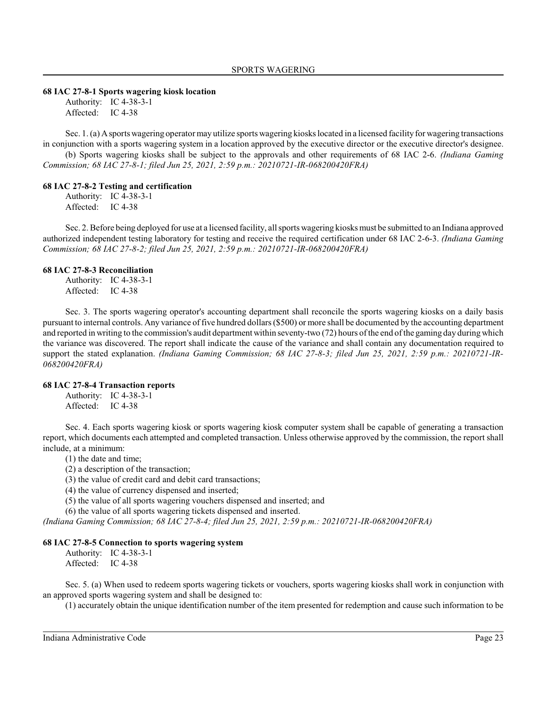#### **68 IAC 27-8-1 Sports wagering kiosk location**

Authority: IC 4-38-3-1 Affected: IC 4-38

Sec. 1. (a) A sports wagering operator may utilize sports wagering kiosks located in a licensed facility for wagering transactions in conjunction with a sports wagering system in a location approved by the executive director or the executive director's designee. (b) Sports wagering kiosks shall be subject to the approvals and other requirements of 68 IAC 2-6. *(Indiana Gaming*

*Commission; 68 IAC 27-8-1; filed Jun 25, 2021, 2:59 p.m.: 20210721-IR-068200420FRA)*

#### **68 IAC 27-8-2 Testing and certification**

Authority: IC 4-38-3-1 Affected: IC 4-38

Sec. 2. Before being deployed for use at a licensed facility, all sports wagering kiosks must be submitted to an Indiana approved authorized independent testing laboratory for testing and receive the required certification under 68 IAC 2-6-3. *(Indiana Gaming Commission; 68 IAC 27-8-2; filed Jun 25, 2021, 2:59 p.m.: 20210721-IR-068200420FRA)*

#### **68 IAC 27-8-3 Reconciliation**

Authority: IC 4-38-3-1 Affected: IC 4-38

Sec. 3. The sports wagering operator's accounting department shall reconcile the sports wagering kiosks on a daily basis pursuant to internal controls. Any variance of five hundred dollars (\$500) or more shall be documented by the accounting department and reported in writing to the commission's audit department within seventy-two (72) hours of the end of the gaming day during which the variance was discovered. The report shall indicate the cause of the variance and shall contain any documentation required to support the stated explanation. *(Indiana Gaming Commission; 68 IAC 27-8-3; filed Jun 25, 2021, 2:59 p.m.: 20210721-IR-068200420FRA)*

#### **68 IAC 27-8-4 Transaction reports**

Authority: IC 4-38-3-1 Affected: IC 4-38

Sec. 4. Each sports wagering kiosk or sports wagering kiosk computer system shall be capable of generating a transaction report, which documents each attempted and completed transaction. Unless otherwise approved by the commission, the report shall include, at a minimum:

(1) the date and time;

(2) a description of the transaction;

(3) the value of credit card and debit card transactions;

(4) the value of currency dispensed and inserted;

(5) the value of all sports wagering vouchers dispensed and inserted; and

(6) the value of all sports wagering tickets dispensed and inserted.

*(Indiana Gaming Commission; 68 IAC 27-8-4; filed Jun 25, 2021, 2:59 p.m.: 20210721-IR-068200420FRA)*

### **68 IAC 27-8-5 Connection to sports wagering system**

Authority: IC 4-38-3-1 Affected: IC 4-38

Sec. 5. (a) When used to redeem sports wagering tickets or vouchers, sports wagering kiosks shall work in conjunction with an approved sports wagering system and shall be designed to:

(1) accurately obtain the unique identification number of the item presented for redemption and cause such information to be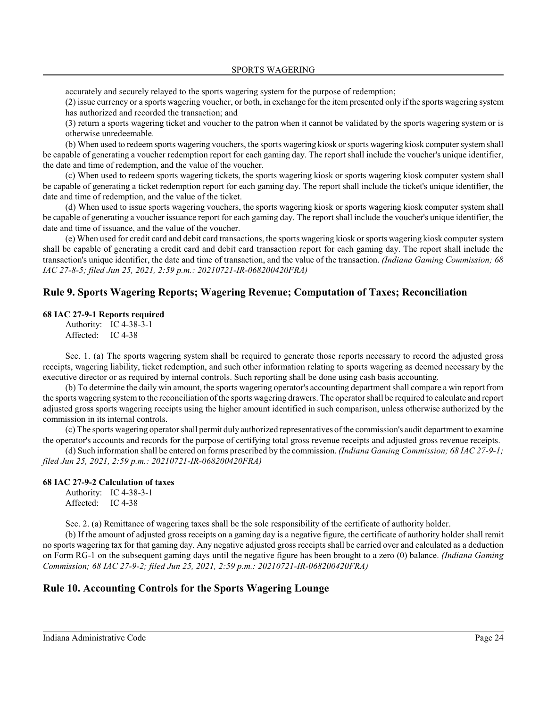accurately and securely relayed to the sports wagering system for the purpose of redemption;

(2) issue currency or a sports wagering voucher, or both, in exchange for the item presented only if the sports wagering system has authorized and recorded the transaction; and

(3) return a sports wagering ticket and voucher to the patron when it cannot be validated by the sports wagering system or is otherwise unredeemable.

(b) When used to redeem sports wagering vouchers, the sports wagering kiosk orsports wagering kiosk computer system shall be capable of generating a voucher redemption report for each gaming day. The report shall include the voucher's unique identifier, the date and time of redemption, and the value of the voucher.

(c) When used to redeem sports wagering tickets, the sports wagering kiosk or sports wagering kiosk computer system shall be capable of generating a ticket redemption report for each gaming day. The report shall include the ticket's unique identifier, the date and time of redemption, and the value of the ticket.

(d) When used to issue sports wagering vouchers, the sports wagering kiosk or sports wagering kiosk computer system shall be capable of generating a voucher issuance report for each gaming day. The report shall include the voucher's unique identifier, the date and time of issuance, and the value of the voucher.

(e) When used for credit card and debit card transactions, the sports wagering kiosk orsports wagering kiosk computer system shall be capable of generating a credit card and debit card transaction report for each gaming day. The report shall include the transaction's unique identifier, the date and time of transaction, and the value of the transaction. *(Indiana Gaming Commission; 68 IAC 27-8-5; filed Jun 25, 2021, 2:59 p.m.: 20210721-IR-068200420FRA)*

## **Rule 9. Sports Wagering Reports; Wagering Revenue; Computation of Taxes; Reconciliation**

### **68 IAC 27-9-1 Reports required**

Authority: IC 4-38-3-1 Affected: IC 4-38

Sec. 1. (a) The sports wagering system shall be required to generate those reports necessary to record the adjusted gross receipts, wagering liability, ticket redemption, and such other information relating to sports wagering as deemed necessary by the executive director or as required by internal controls. Such reporting shall be done using cash basis accounting.

(b) To determine the daily win amount, the sports wagering operator's accounting department shall compare a win report from the sports wagering systemto the reconciliation of the sports wagering drawers. The operator shall be required to calculate and report adjusted gross sports wagering receipts using the higher amount identified in such comparison, unless otherwise authorized by the commission in its internal controls.

(c) The sports wagering operator shall permit duly authorized representatives of the commission's audit department to examine the operator's accounts and records for the purpose of certifying total gross revenue receipts and adjusted gross revenue receipts.

(d) Such information shall be entered on forms prescribed by the commission. *(Indiana Gaming Commission; 68 IAC 27-9-1; filed Jun 25, 2021, 2:59 p.m.: 20210721-IR-068200420FRA)*

### **68 IAC 27-9-2 Calculation of taxes**

Authority: IC 4-38-3-1 Affected: IC 4-38

Sec. 2. (a) Remittance of wagering taxes shall be the sole responsibility of the certificate of authority holder.

(b) If the amount of adjusted gross receipts on a gaming day is a negative figure, the certificate of authority holder shall remit no sports wagering tax for that gaming day. Any negative adjusted gross receipts shall be carried over and calculated as a deduction on Form RG-1 on the subsequent gaming days until the negative figure has been brought to a zero (0) balance. *(Indiana Gaming Commission; 68 IAC 27-9-2; filed Jun 25, 2021, 2:59 p.m.: 20210721-IR-068200420FRA)*

## **Rule 10. Accounting Controls for the Sports Wagering Lounge**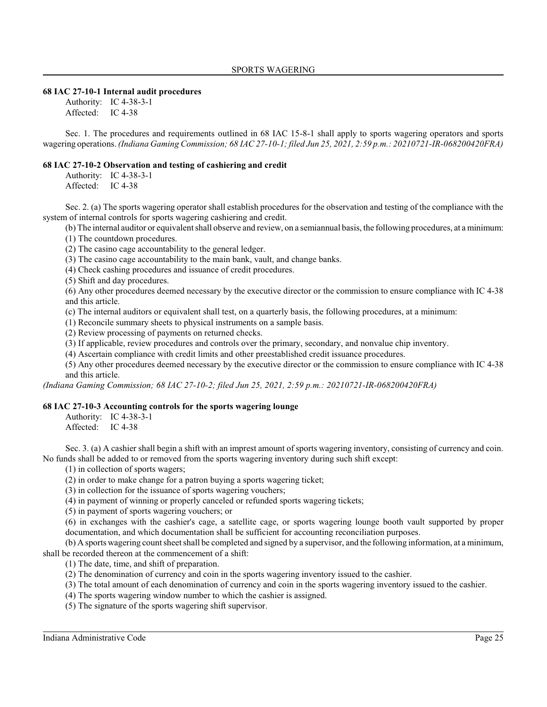### **68 IAC 27-10-1 Internal audit procedures**

Authority: IC 4-38-3-1 Affected: IC 4-38

Sec. 1. The procedures and requirements outlined in 68 IAC 15-8-1 shall apply to sports wagering operators and sports wagering operations. *(Indiana Gaming Commission; 68 IAC 27-10-1; filed Jun 25, 2021, 2:59 p.m.: 20210721-IR-068200420FRA)*

### **68 IAC 27-10-2 Observation and testing of cashiering and credit**

Authority: IC 4-38-3-1 Affected: IC 4-38

Sec. 2. (a) The sports wagering operator shall establish procedures for the observation and testing of the compliance with the system of internal controls for sports wagering cashiering and credit.

(b) The internal auditor or equivalent shall observe and review, on a semiannual basis, the following procedures, at a minimum:

(1) The countdown procedures.

(2) The casino cage accountability to the general ledger.

(3) The casino cage accountability to the main bank, vault, and change banks.

(4) Check cashing procedures and issuance of credit procedures.

(5) Shift and day procedures.

(6) Any other procedures deemed necessary by the executive director or the commission to ensure compliance with IC 4-38 and this article.

(c) The internal auditors or equivalent shall test, on a quarterly basis, the following procedures, at a minimum:

(1) Reconcile summary sheets to physical instruments on a sample basis.

(2) Review processing of payments on returned checks.

(3) If applicable, review procedures and controls over the primary, secondary, and nonvalue chip inventory.

(4) Ascertain compliance with credit limits and other preestablished credit issuance procedures.

(5) Any other procedures deemed necessary by the executive director or the commission to ensure compliance with IC 4-38 and this article.

*(Indiana Gaming Commission; 68 IAC 27-10-2; filed Jun 25, 2021, 2:59 p.m.: 20210721-IR-068200420FRA)*

### **68 IAC 27-10-3 Accounting controls for the sports wagering lounge**

Authority: IC 4-38-3-1

Affected: IC 4-38

Sec. 3. (a) A cashier shall begin a shift with an imprest amount of sports wagering inventory, consisting of currency and coin. No funds shall be added to or removed from the sports wagering inventory during such shift except:

(1) in collection of sports wagers;

(2) in order to make change for a patron buying a sports wagering ticket;

(3) in collection for the issuance of sports wagering vouchers;

(4) in payment of winning or properly canceled or refunded sports wagering tickets;

(5) in payment of sports wagering vouchers; or

(6) in exchanges with the cashier's cage, a satellite cage, or sports wagering lounge booth vault supported by proper documentation, and which documentation shall be sufficient for accounting reconciliation purposes.

(b) A sports wagering count sheet shall be completed and signed by a supervisor, and the following information, at a minimum, shall be recorded thereon at the commencement of a shift:

(1) The date, time, and shift of preparation.

(2) The denomination of currency and coin in the sports wagering inventory issued to the cashier.

(3) The total amount of each denomination of currency and coin in the sports wagering inventory issued to the cashier.

(4) The sports wagering window number to which the cashier is assigned.

(5) The signature of the sports wagering shift supervisor.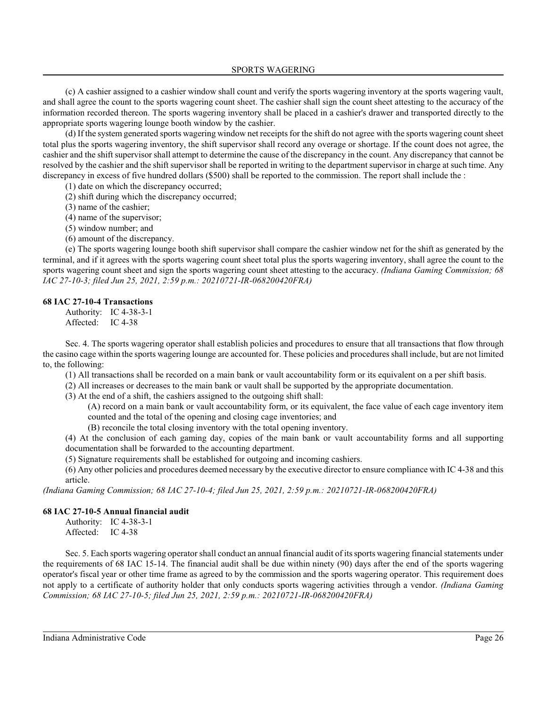(c) A cashier assigned to a cashier window shall count and verify the sports wagering inventory at the sports wagering vault, and shall agree the count to the sports wagering count sheet. The cashier shall sign the count sheet attesting to the accuracy of the information recorded thereon. The sports wagering inventory shall be placed in a cashier's drawer and transported directly to the appropriate sports wagering lounge booth window by the cashier.

(d) If the system generated sports wagering window net receipts for the shift do not agree with the sports wagering count sheet total plus the sports wagering inventory, the shift supervisor shall record any overage or shortage. If the count does not agree, the cashier and the shift supervisor shall attempt to determine the cause of the discrepancy in the count. Any discrepancy that cannot be resolved by the cashier and the shift supervisor shall be reported in writing to the department supervisor in charge at such time. Any discrepancy in excess of five hundred dollars (\$500) shall be reported to the commission. The report shall include the :

(1) date on which the discrepancy occurred;

(2) shift during which the discrepancy occurred;

(3) name of the cashier;

(4) name of the supervisor;

(5) window number; and

(6) amount of the discrepancy.

(e) The sports wagering lounge booth shift supervisor shall compare the cashier window net for the shift as generated by the terminal, and if it agrees with the sports wagering count sheet total plus the sports wagering inventory, shall agree the count to the sports wagering count sheet and sign the sports wagering count sheet attesting to the accuracy. *(Indiana Gaming Commission; 68 IAC 27-10-3; filed Jun 25, 2021, 2:59 p.m.: 20210721-IR-068200420FRA)*

#### **68 IAC 27-10-4 Transactions**

Authority: IC 4-38-3-1 Affected: IC 4-38

Sec. 4. The sports wagering operator shall establish policies and procedures to ensure that all transactions that flow through the casino cage within the sports wagering lounge are accounted for. These policies and procedures shall include, but are not limited to, the following:

(1) All transactions shall be recorded on a main bank or vault accountability form or its equivalent on a per shift basis.

(2) All increases or decreases to the main bank or vault shall be supported by the appropriate documentation.

(3) At the end of a shift, the cashiers assigned to the outgoing shift shall:

(A) record on a main bank or vault accountability form, or its equivalent, the face value of each cage inventory item counted and the total of the opening and closing cage inventories; and

(B) reconcile the total closing inventory with the total opening inventory.

(4) At the conclusion of each gaming day, copies of the main bank or vault accountability forms and all supporting documentation shall be forwarded to the accounting department.

(5) Signature requirements shall be established for outgoing and incoming cashiers.

(6) Any other policies and procedures deemed necessary by the executive director to ensure compliance with IC 4-38 and this article.

*(Indiana Gaming Commission; 68 IAC 27-10-4; filed Jun 25, 2021, 2:59 p.m.: 20210721-IR-068200420FRA)*

#### **68 IAC 27-10-5 Annual financial audit**

Authority: IC 4-38-3-1 Affected: IC 4-38

Sec. 5. Each sports wagering operator shall conduct an annual financial audit of its sports wagering financial statements under the requirements of 68 IAC 15-14. The financial audit shall be due within ninety (90) days after the end of the sports wagering operator's fiscal year or other time frame as agreed to by the commission and the sports wagering operator. This requirement does not apply to a certificate of authority holder that only conducts sports wagering activities through a vendor. *(Indiana Gaming Commission; 68 IAC 27-10-5; filed Jun 25, 2021, 2:59 p.m.: 20210721-IR-068200420FRA)*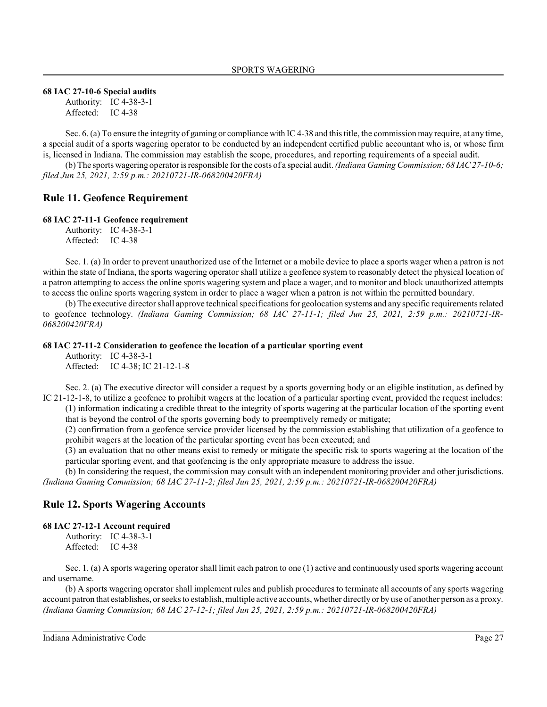#### **68 IAC 27-10-6 Special audits**

Authority: IC 4-38-3-1 Affected: IC 4-38

Sec. 6. (a) To ensure the integrity of gaming or compliance with IC 4-38 and thistitle, the commission may require, at any time, a special audit of a sports wagering operator to be conducted by an independent certified public accountant who is, or whose firm is, licensed in Indiana. The commission may establish the scope, procedures, and reporting requirements of a special audit.

(b) The sports wagering operator is responsible for the costs of a special audit. *(Indiana Gaming Commission; 68 IAC 27-10-6; filed Jun 25, 2021, 2:59 p.m.: 20210721-IR-068200420FRA)*

## **Rule 11. Geofence Requirement**

#### **68 IAC 27-11-1 Geofence requirement**

Authority: IC 4-38-3-1 Affected: IC 4-38

Sec. 1. (a) In order to prevent unauthorized use of the Internet or a mobile device to place a sports wager when a patron is not within the state of Indiana, the sports wagering operator shall utilize a geofence system to reasonably detect the physical location of a patron attempting to access the online sports wagering system and place a wager, and to monitor and block unauthorized attempts to access the online sports wagering system in order to place a wager when a patron is not within the permitted boundary.

(b) The executive directorshall approve technical specifications for geolocation systems and any specific requirements related to geofence technology. *(Indiana Gaming Commission; 68 IAC 27-11-1; filed Jun 25, 2021, 2:59 p.m.: 20210721-IR-068200420FRA)*

#### **68 IAC 27-11-2 Consideration to geofence the location of a particular sporting event**

Authority: IC 4-38-3-1 Affected: IC 4-38; IC 21-12-1-8

Sec. 2. (a) The executive director will consider a request by a sports governing body or an eligible institution, as defined by IC 21-12-1-8, to utilize a geofence to prohibit wagers at the location of a particular sporting event, provided the request includes: (1) information indicating a credible threat to the integrity of sports wagering at the particular location of the sporting event that is beyond the control of the sports governing body to preemptively remedy or mitigate;

(2) confirmation from a geofence service provider licensed by the commission establishing that utilization of a geofence to prohibit wagers at the location of the particular sporting event has been executed; and

(3) an evaluation that no other means exist to remedy or mitigate the specific risk to sports wagering at the location of the particular sporting event, and that geofencing is the only appropriate measure to address the issue.

(b) In considering the request, the commission may consult with an independent monitoring provider and other jurisdictions. *(Indiana Gaming Commission; 68 IAC 27-11-2; filed Jun 25, 2021, 2:59 p.m.: 20210721-IR-068200420FRA)*

### **Rule 12. Sports Wagering Accounts**

#### **68 IAC 27-12-1 Account required**

Authority: IC 4-38-3-1 Affected: IC 4-38

Sec. 1. (a) A sports wagering operator shall limit each patron to one (1) active and continuously used sports wagering account and username.

(b) A sports wagering operator shall implement rules and publish procedures to terminate all accounts of any sports wagering account patron that establishes, orseeks to establish, multiple active accounts, whether directly or by use of another person as a proxy. *(Indiana Gaming Commission; 68 IAC 27-12-1; filed Jun 25, 2021, 2:59 p.m.: 20210721-IR-068200420FRA)*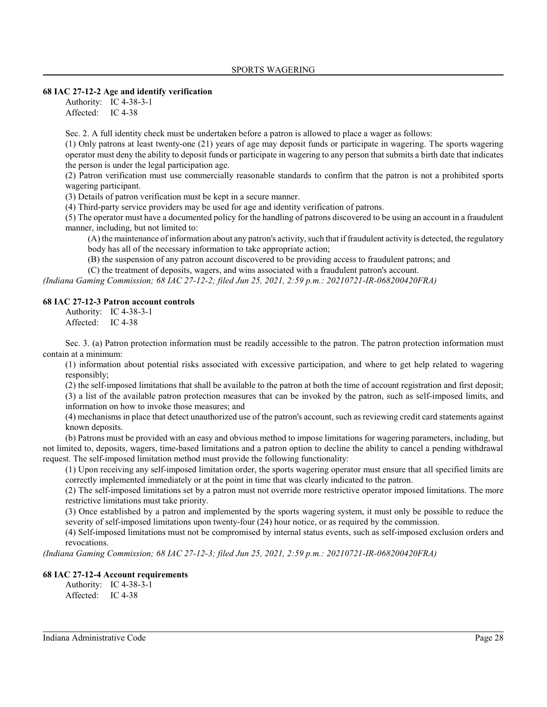#### **68 IAC 27-12-2 Age and identify verification**

Authority: IC 4-38-3-1 Affected: IC 4-38

Sec. 2. A full identity check must be undertaken before a patron is allowed to place a wager as follows:

(1) Only patrons at least twenty-one (21) years of age may deposit funds or participate in wagering. The sports wagering operator must deny the ability to deposit funds or participate in wagering to any person that submits a birth date that indicates the person is under the legal participation age.

(2) Patron verification must use commercially reasonable standards to confirm that the patron is not a prohibited sports wagering participant.

(3) Details of patron verification must be kept in a secure manner.

(4) Third-party service providers may be used for age and identity verification of patrons.

(5) The operator must have a documented policy for the handling of patrons discovered to be using an account in a fraudulent manner, including, but not limited to:

(A) the maintenance of information about any patron's activity, such that if fraudulent activity is detected, the regulatory body has all of the necessary information to take appropriate action;

(B) the suspension of any patron account discovered to be providing access to fraudulent patrons; and

(C) the treatment of deposits, wagers, and wins associated with a fraudulent patron's account.

*(Indiana Gaming Commission; 68 IAC 27-12-2; filed Jun 25, 2021, 2:59 p.m.: 20210721-IR-068200420FRA)*

### **68 IAC 27-12-3 Patron account controls**

Authority: IC 4-38-3-1 Affected: IC 4-38

Sec. 3. (a) Patron protection information must be readily accessible to the patron. The patron protection information must contain at a minimum:

(1) information about potential risks associated with excessive participation, and where to get help related to wagering responsibly;

(2) the self-imposed limitations that shall be available to the patron at both the time of account registration and first deposit; (3) a list of the available patron protection measures that can be invoked by the patron, such as self-imposed limits, and information on how to invoke those measures; and

(4) mechanisms in place that detect unauthorized use of the patron's account, such as reviewing credit card statements against known deposits.

(b) Patrons must be provided with an easy and obvious method to impose limitations for wagering parameters, including, but not limited to, deposits, wagers, time-based limitations and a patron option to decline the ability to cancel a pending withdrawal request. The self-imposed limitation method must provide the following functionality:

(1) Upon receiving any self-imposed limitation order, the sports wagering operator must ensure that all specified limits are correctly implemented immediately or at the point in time that was clearly indicated to the patron.

(2) The self-imposed limitations set by a patron must not override more restrictive operator imposed limitations. The more restrictive limitations must take priority.

(3) Once established by a patron and implemented by the sports wagering system, it must only be possible to reduce the severity of self-imposed limitations upon twenty-four (24) hour notice, or as required by the commission.

(4) Self-imposed limitations must not be compromised by internal status events, such as self-imposed exclusion orders and revocations.

*(Indiana Gaming Commission; 68 IAC 27-12-3; filed Jun 25, 2021, 2:59 p.m.: 20210721-IR-068200420FRA)*

#### **68 IAC 27-12-4 Account requirements**

Authority: IC 4-38-3-1 Affected: IC 4-38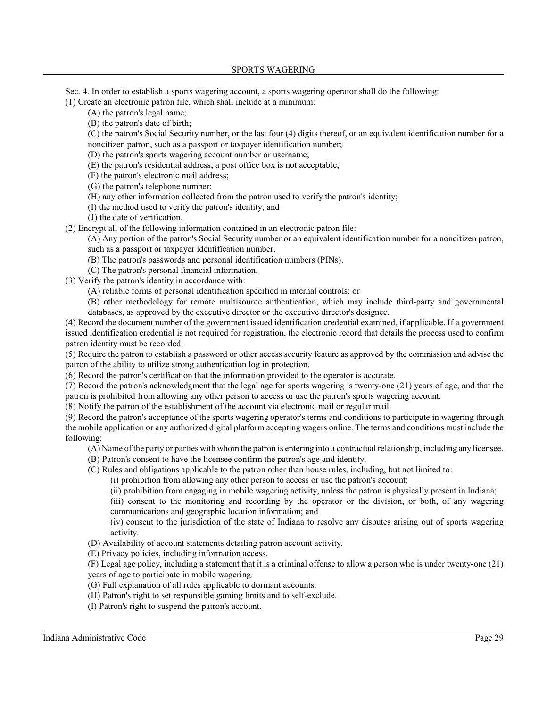Sec. 4. In order to establish a sports wagering account, a sports wagering operator shall do the following:

(1) Create an electronic patron file, which shall include at a minimum:

(A) the patron's legal name;

(B) the patron's date of birth;

(C) the patron's Social Security number, or the last four (4) digits thereof, or an equivalent identification number for a noncitizen patron, such as a passport or taxpayer identification number;

(D) the patron's sports wagering account number or username;

(E) the patron's residential address; a post office box is not acceptable;

(F) the patron's electronic mail address;

(G) the patron's telephone number;

(H) any other information collected from the patron used to verify the patron's identity;

(I) the method used to verify the patron's identity; and

(J) the date of verification.

(2) Encrypt all of the following information contained in an electronic patron file:

(A) Any portion of the patron's Social Security number or an equivalent identification number for a noncitizen patron, such as a passport or taxpayer identification number.

(B) The patron's passwords and personal identification numbers (PINs).

(C) The patron's personal financial information.

(3) Verify the patron's identity in accordance with:

(A) reliable forms of personal identification specified in internal controls; or

(B) other methodology for remote multisource authentication, which may include third-party and governmental databases, as approved by the executive director or the executive director's designee.

(4) Record the document number of the government issued identification credential examined, if applicable. If a government issued identification credential is not required for registration, the electronic record that details the process used to confirm patron identity must be recorded.

(5) Require the patron to establish a password or other access security feature as approved by the commission and advise the patron of the ability to utilize strong authentication log in protection.

(6) Record the patron's certification that the information provided to the operator is accurate.

(7) Record the patron's acknowledgment that the legal age for sports wagering is twenty-one (21) years of age, and that the patron is prohibited from allowing any other person to access or use the patron's sports wagering account.

(8) Notify the patron of the establishment of the account via electronic mail or regular mail.

(9) Record the patron's acceptance of the sports wagering operator's terms and conditions to participate in wagering through the mobile application or any authorized digital platform accepting wagers online. The terms and conditions must include the following:

(A) Name of the party or parties with whom the patron is entering into a contractual relationship, including any licensee.

(B) Patron's consent to have the licensee confirm the patron's age and identity.

(C) Rules and obligations applicable to the patron other than house rules, including, but not limited to:

(i) prohibition from allowing any other person to access or use the patron's account;

(ii) prohibition from engaging in mobile wagering activity, unless the patron is physically present in Indiana;

(iii) consent to the monitoring and recording by the operator or the division, or both, of any wagering communications and geographic location information; and

(iv) consent to the jurisdiction of the state of Indiana to resolve any disputes arising out of sports wagering activity.

(D) Availability of account statements detailing patron account activity.

(E) Privacy policies, including information access.

(F) Legal age policy, including a statement that it is a criminal offense to allow a person who is under twenty-one (21) years of age to participate in mobile wagering.

(G) Full explanation of all rules applicable to dormant accounts.

(H) Patron's right to set responsible gaming limits and to self-exclude.

(I) Patron's right to suspend the patron's account.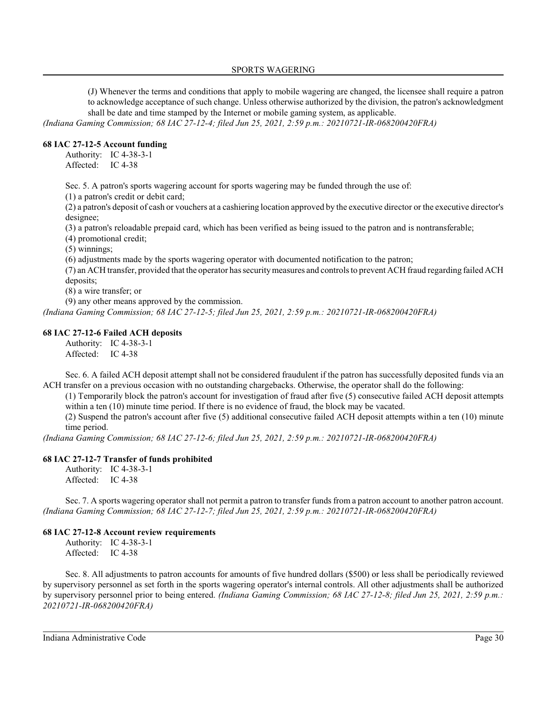(J) Whenever the terms and conditions that apply to mobile wagering are changed, the licensee shall require a patron to acknowledge acceptance of such change. Unless otherwise authorized by the division, the patron's acknowledgment shall be date and time stamped by the Internet or mobile gaming system, as applicable.

*(Indiana Gaming Commission; 68 IAC 27-12-4; filed Jun 25, 2021, 2:59 p.m.: 20210721-IR-068200420FRA)*

### **68 IAC 27-12-5 Account funding**

Authority: IC 4-38-3-1 Affected: IC 4-38

Sec. 5. A patron's sports wagering account for sports wagering may be funded through the use of:

(1) a patron's credit or debit card;

(2) a patron's deposit of cash or vouchers at a cashiering location approved by the executive director or the executive director's designee;

(3) a patron's reloadable prepaid card, which has been verified as being issued to the patron and is nontransferable;

(4) promotional credit;

(5) winnings;

(6) adjustments made by the sports wagering operator with documented notification to the patron;

(7) an ACH transfer, provided that the operator has securitymeasures and controls to prevent ACH fraud regarding failed ACH deposits;

(8) a wire transfer; or

(9) any other means approved by the commission.

*(Indiana Gaming Commission; 68 IAC 27-12-5; filed Jun 25, 2021, 2:59 p.m.: 20210721-IR-068200420FRA)*

### **68 IAC 27-12-6 Failed ACH deposits**

Authority: IC 4-38-3-1 Affected: IC 4-38

Sec. 6. A failed ACH deposit attempt shall not be considered fraudulent if the patron has successfully deposited funds via an ACH transfer on a previous occasion with no outstanding chargebacks. Otherwise, the operator shall do the following:

(1) Temporarily block the patron's account for investigation of fraud after five (5) consecutive failed ACH deposit attempts within a ten (10) minute time period. If there is no evidence of fraud, the block may be vacated.

(2) Suspend the patron's account after five (5) additional consecutive failed ACH deposit attempts within a ten (10) minute time period.

*(Indiana Gaming Commission; 68 IAC 27-12-6; filed Jun 25, 2021, 2:59 p.m.: 20210721-IR-068200420FRA)*

### **68 IAC 27-12-7 Transfer of funds prohibited**

Authority: IC 4-38-3-1 Affected: IC 4-38

Sec. 7. A sports wagering operator shall not permit a patron to transfer funds from a patron account to another patron account. *(Indiana Gaming Commission; 68 IAC 27-12-7; filed Jun 25, 2021, 2:59 p.m.: 20210721-IR-068200420FRA)*

### **68 IAC 27-12-8 Account review requirements**

Authority: IC 4-38-3-1 Affected: IC 4-38

Sec. 8. All adjustments to patron accounts for amounts of five hundred dollars (\$500) or less shall be periodically reviewed by supervisory personnel as set forth in the sports wagering operator's internal controls. All other adjustments shall be authorized by supervisory personnel prior to being entered. *(Indiana Gaming Commission; 68 IAC 27-12-8; filed Jun 25, 2021, 2:59 p.m.: 20210721-IR-068200420FRA)*

Indiana Administrative Code Page 30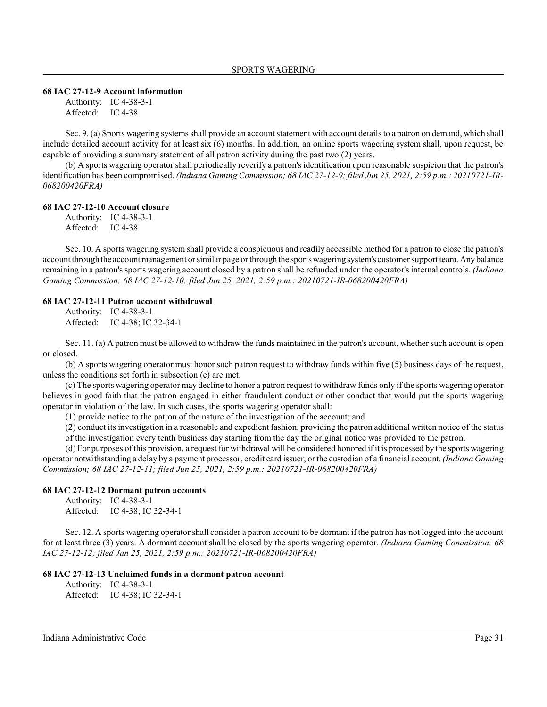#### **68 IAC 27-12-9 Account information**

Authority: IC 4-38-3-1 Affected: IC 4-38

Sec. 9. (a) Sports wagering systems shall provide an account statement with account details to a patron on demand, which shall include detailed account activity for at least six (6) months. In addition, an online sports wagering system shall, upon request, be capable of providing a summary statement of all patron activity during the past two (2) years.

(b) A sports wagering operator shall periodically reverify a patron's identification upon reasonable suspicion that the patron's identification has been compromised. *(Indiana Gaming Commission; 68 IAC 27-12-9; filed Jun 25, 2021, 2:59 p.m.: 20210721-IR-068200420FRA)*

#### **68 IAC 27-12-10 Account closure**

Authority: IC 4-38-3-1

Affected: IC 4-38

Sec. 10. A sports wagering system shall provide a conspicuous and readily accessible method for a patron to close the patron's account through the account management orsimilar page orthrough the sports wagering system's customer support team. Anybalance remaining in a patron's sports wagering account closed by a patron shall be refunded under the operator'sinternal controls. *(Indiana Gaming Commission; 68 IAC 27-12-10; filed Jun 25, 2021, 2:59 p.m.: 20210721-IR-068200420FRA)*

### **68 IAC 27-12-11 Patron account withdrawal**

Authority: IC 4-38-3-1 Affected: IC 4-38; IC 32-34-1

Sec. 11. (a) A patron must be allowed to withdraw the funds maintained in the patron's account, whether such account is open or closed.

(b) A sports wagering operator must honor such patron request to withdraw funds within five (5) business days of the request, unless the conditions set forth in subsection (c) are met.

(c) The sports wagering operator may decline to honor a patron request to withdraw funds only if the sports wagering operator believes in good faith that the patron engaged in either fraudulent conduct or other conduct that would put the sports wagering operator in violation of the law. In such cases, the sports wagering operator shall:

(1) provide notice to the patron of the nature of the investigation of the account; and

(2) conduct its investigation in a reasonable and expedient fashion, providing the patron additional written notice of the status of the investigation every tenth business day starting from the day the original notice was provided to the patron.

(d) For purposes of this provision, a request for withdrawal will be considered honored if it is processed by the sports wagering operator notwithstanding a delay by a payment processor, credit card issuer, or the custodian of a financial account. *(Indiana Gaming Commission; 68 IAC 27-12-11; filed Jun 25, 2021, 2:59 p.m.: 20210721-IR-068200420FRA)*

### **68 IAC 27-12-12 Dormant patron accounts**

Authority: IC 4-38-3-1 Affected: IC 4-38; IC 32-34-1

Sec. 12. A sports wagering operator shall consider a patron account to be dormant if the patron has not logged into the account for at least three (3) years. A dormant account shall be closed by the sports wagering operator. *(Indiana Gaming Commission; 68 IAC 27-12-12; filed Jun 25, 2021, 2:59 p.m.: 20210721-IR-068200420FRA)*

#### **68 IAC 27-12-13 Unclaimed funds in a dormant patron account**

Authority: IC 4-38-3-1 Affected: IC 4-38; IC 32-34-1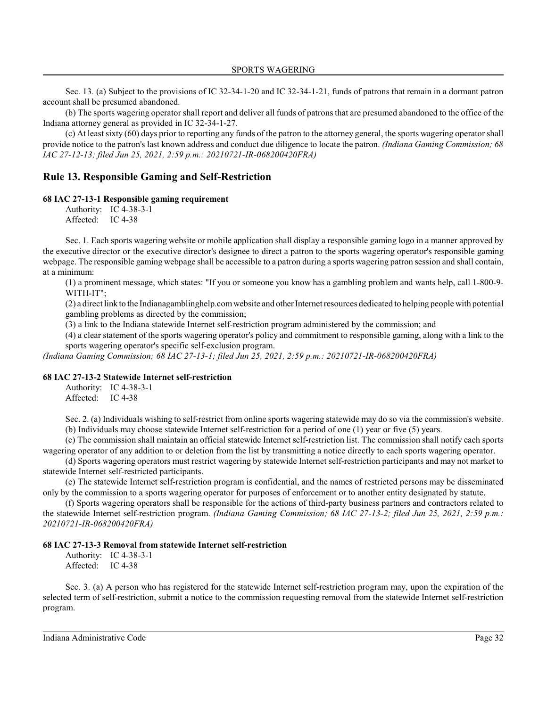Sec. 13. (a) Subject to the provisions of IC 32-34-1-20 and IC 32-34-1-21, funds of patrons that remain in a dormant patron account shall be presumed abandoned.

(b) The sports wagering operator shall report and deliver all funds of patrons that are presumed abandoned to the office of the Indiana attorney general as provided in IC 32-34-1-27.

(c) At least sixty (60) days prior to reporting any funds of the patron to the attorney general, the sports wagering operator shall provide notice to the patron's last known address and conduct due diligence to locate the patron. *(Indiana Gaming Commission; 68 IAC 27-12-13; filed Jun 25, 2021, 2:59 p.m.: 20210721-IR-068200420FRA)*

## **Rule 13. Responsible Gaming and Self-Restriction**

#### **68 IAC 27-13-1 Responsible gaming requirement**

Authority: IC 4-38-3-1 Affected: IC 4-38

Sec. 1. Each sports wagering website or mobile application shall display a responsible gaming logo in a manner approved by the executive director or the executive director's designee to direct a patron to the sports wagering operator's responsible gaming webpage. The responsible gaming webpage shall be accessible to a patron during a sports wagering patron session and shall contain, at a minimum:

(1) a prominent message, which states: "If you or someone you know has a gambling problem and wants help, call 1-800-9- WITH-IT";

(2) a direct link to the Indianagamblinghelp.comwebsite and other Internet resources dedicated to helping people with potential gambling problems as directed by the commission;

(3) a link to the Indiana statewide Internet self-restriction program administered by the commission; and

(4) a clear statement of the sports wagering operator's policy and commitment to responsible gaming, along with a link to the sports wagering operator's specific self-exclusion program.

*(Indiana Gaming Commission; 68 IAC 27-13-1; filed Jun 25, 2021, 2:59 p.m.: 20210721-IR-068200420FRA)*

#### **68 IAC 27-13-2 Statewide Internet self-restriction**

Authority: IC 4-38-3-1 Affected: IC 4-38

Sec. 2. (a) Individuals wishing to self-restrict from online sports wagering statewide may do so via the commission's website.

(b) Individuals may choose statewide Internet self-restriction for a period of one (1) year or five (5) years.

(c) The commission shall maintain an official statewide Internet self-restriction list. The commission shall notify each sports wagering operator of any addition to or deletion from the list by transmitting a notice directly to each sports wagering operator.

(d) Sports wagering operators must restrict wagering by statewide Internet self-restriction participants and may not market to statewide Internet self-restricted participants.

(e) The statewide Internet self-restriction program is confidential, and the names of restricted persons may be disseminated only by the commission to a sports wagering operator for purposes of enforcement or to another entity designated by statute.

(f) Sports wagering operators shall be responsible for the actions of third-party business partners and contractors related to the statewide Internet self-restriction program. *(Indiana Gaming Commission; 68 IAC 27-13-2; filed Jun 25, 2021, 2:59 p.m.: 20210721-IR-068200420FRA)*

#### **68 IAC 27-13-3 Removal from statewide Internet self-restriction**

Authority: IC 4-38-3-1 Affected: IC 4-38

Sec. 3. (a) A person who has registered for the statewide Internet self-restriction program may, upon the expiration of the selected term of self-restriction, submit a notice to the commission requesting removal from the statewide Internet self-restriction program.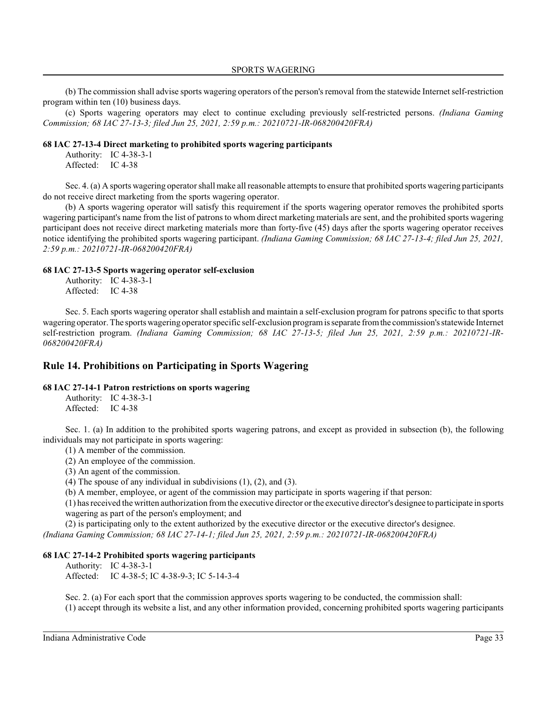(b) The commission shall advise sports wagering operators of the person's removal from the statewide Internet self-restriction program within ten (10) business days.

(c) Sports wagering operators may elect to continue excluding previously self-restricted persons. *(Indiana Gaming Commission; 68 IAC 27-13-3; filed Jun 25, 2021, 2:59 p.m.: 20210721-IR-068200420FRA)*

#### **68 IAC 27-13-4 Direct marketing to prohibited sports wagering participants**

Authority: IC 4-38-3-1 Affected: IC 4-38

Sec. 4. (a) A sports wagering operator shall make all reasonable attempts to ensure that prohibited sports wagering participants do not receive direct marketing from the sports wagering operator.

(b) A sports wagering operator will satisfy this requirement if the sports wagering operator removes the prohibited sports wagering participant's name from the list of patrons to whom direct marketing materials are sent, and the prohibited sports wagering participant does not receive direct marketing materials more than forty-five (45) days after the sports wagering operator receives notice identifying the prohibited sports wagering participant. *(Indiana Gaming Commission; 68 IAC 27-13-4; filed Jun 25, 2021, 2:59 p.m.: 20210721-IR-068200420FRA)*

### **68 IAC 27-13-5 Sports wagering operator self-exclusion**

Authority: IC 4-38-3-1 Affected: IC 4-38

Sec. 5. Each sports wagering operator shall establish and maintain a self-exclusion program for patrons specific to that sports wagering operator. The sports wagering operator specific self-exclusion programis separate fromthe commission's statewide Internet self-restriction program. *(Indiana Gaming Commission; 68 IAC 27-13-5; filed Jun 25, 2021, 2:59 p.m.: 20210721-IR-068200420FRA)*

## **Rule 14. Prohibitions on Participating in Sports Wagering**

### **68 IAC 27-14-1 Patron restrictions on sports wagering**

Authority: IC 4-38-3-1 Affected: IC 4-38

Sec. 1. (a) In addition to the prohibited sports wagering patrons, and except as provided in subsection (b), the following individuals may not participate in sports wagering:

(1) A member of the commission.

(2) An employee of the commission.

(3) An agent of the commission.

(4) The spouse of any individual in subdivisions  $(1)$ ,  $(2)$ , and  $(3)$ .

(b) A member, employee, or agent of the commission may participate in sports wagering if that person:

(1) has received the written authorization fromthe executive director orthe executive director's designee to participate in sports wagering as part of the person's employment; and

(2) is participating only to the extent authorized by the executive director or the executive director's designee.

*(Indiana Gaming Commission; 68 IAC 27-14-1; filed Jun 25, 2021, 2:59 p.m.: 20210721-IR-068200420FRA)*

### **68 IAC 27-14-2 Prohibited sports wagering participants**

Authority: IC 4-38-3-1 Affected: IC 4-38-5; IC 4-38-9-3; IC 5-14-3-4

Sec. 2. (a) For each sport that the commission approves sports wagering to be conducted, the commission shall: (1) accept through its website a list, and any other information provided, concerning prohibited sports wagering participants